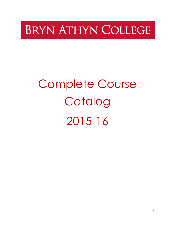# **BRYN ATHYN COLLEGE**

# Complete Course Catalog 2015-16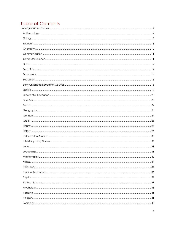### **Table of Contents** Ur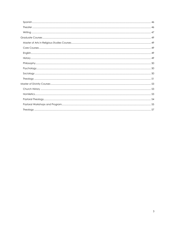<span id="page-2-0"></span>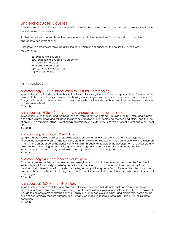## Undergraduate Courses

The College administration will make every effort to offer the courses listed in this catalog but reserves the right to cancel courses if necessary.

Students may take courses above their year level only with the permission of both the instructor and the appropriate department chair.

Descriptors in parentheses following a title indicate which skills or disciplines the course fills in the Core requirements:

(EE) Experiential Education (EEC) Experiential Education Component (IL) Information Literacy (PP) Public Presentation (QR) Quantitative Reasoning (W) Writing Intensive

#### <span id="page-3-0"></span>Anthropology

#### Anthropology 110. An Introduction to Cultural Anthropology.

Introduction to the theories and methods of cultural anthropology, and to the concept of culture. Focuses on the basic institutions of culture such as ritual, technology, and progress as predicates for modern human society. Though not a world cultures course, includes consideration of the variety of human cultures as they exist today, or as they once existed.

3 Credits.

#### Anthropology/History 211. Artifacts, Archaeology, and Museums. (W)

Introduction to the theories and methods used to interpret how objects provide evidence for history and express a society's values, ideas, and attitudes. Includes examination of archaeological method and ethics, and the use of objects in a museum setting. Use of hands-on projects and visits to Bryn Athyn's historical district and other local sites.

3 Credits.

#### Anthropology 213. World Pre-History.

Using world archaeological sites as stepping stones, creates a narrative of prehistory from Australopithecus through the advent of urban civilization in the old and new worlds. Focuses on three general revolutions in human history: 1) the emergence of the genus Homo with all its modern attributes; 2) the development of agriculture and animal husbandry during the Neolithic; 3) the coming together of humans in cities and states, and the ramifications for human society. Prerequisite: Anthropology 110 or instructor permission. 3 Credits.

#### Anthropology 240. Anthropology of Religion.

This course presents a theoretical perspective on religion as a cultural phenomenon. It explores the functional relationships within a variety of belief systems. It compares them across cultures and time, and, in particular, considers their intersections with subsistence strategies and political systems. Topics include: the roles of symbols and practitioners, myth and ritual, magic and cultic practice, & secularism and fundamentalism in traditional and world religions.

3 Credits.

#### Anthropology 260. Human Evolution.

Introduction to human evolution and physical anthropology. Areas include paleoanthropology, primatology, molecular anthropology (population genetics), and to some extent evolutionary biology. Specific issues covered include the primate roots of human behavior, brain and language evolution, new and classic fossil hominids, the origin of anatomically modern humans, and human biogenetic variations. Prerequisite: Biology 122 or instructor permission.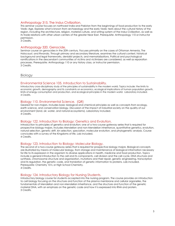#### Anthropology 315. The Indus Civilization.

This seminar course focuses on northwest India and Pakistan from the beginnings of food production to the early Vedic Age. Explores what is known from archaeology and the early Vedic texts about the cultural history of the region, including the architecture, religion, material culture, and writing system of the Indus Civilization, as well as its trade relations with other urban centers of the greater Near East. Prerequisite: Anthropology 110 or instructor permission.

3 Credits.

#### Anthropology 320. Genocide.

Seminar course on genocides in the 20th century. Focuses primarily on the cases of Ottoman Armenia, The Holocaust, and Rwanda. Through primary and secondary literature, examines the cultural context, historical background and legal frameworks, denialist projects, and memorializations. Political and psychological ramifications in the descendant communities of victims and victimizers are considered, as well as reparation processes. Prerequisite: Anthropology 110 or any history class, or instructor permission. 3 Credits.

<span id="page-4-0"></span>Biology

#### Environmental Science 105. Introduction to Sustainability.

Introductory cross-disciplinary study of the principles of sustainability in the modern world. Topics include: the limits to economic growth, demography and its constraints on economics, ecological implications of human population growth, limits of energy consumption and production, and ecological principles in the modern world. Laboratory included. 4 Credits.

#### Biology 110. Environmental Science. (QR)

Geared for non-majors. Includes basic biological and chemical principles as well as concepts from ecology, earth science, and conservation biology. Discussion of the impact of industrial society on the quality of our environment (land, air, water, and natural ecosystems). Laboratory included. 4 Credits.

#### Biology 122. Introduction to Biology: Genetics and Evolution.

Introduction to principles of genetics and evolution; one of a two-course gateway series that is required for prospective biology majors. Includes Mendelian and non-Mendelian inheritance, quantitative genetics, evolution, natural selection, genetic drift, kin selection, speciation, molecular evolution, and phylogenetic analysis. Course concludes with a survey of the Kingdoms of life. Lab included. 4 Credits.

#### Biology 123. Introduction to Biology: Molecular Biology.

The second of a two-course gateway series that is required for prospective biology majors. Biological concepts are illustrated by means of molecular biology, from storage and maintenance of biological information necessary for life to its expression in the organism to diverse applications in health, medicine and food production. Topics include a general introduction to the cell and its components, cell division and the cell cycle, DNA structure and synthesis, chromosome structure and organization, mutations and their repair, genetic engineering, transcription and its regulation, the genetic code, and translation of genetic information to proteins. Lab included. Prerequisite: Chemistry 101L or High School Chemistry. 4 Credits.

#### Biology 124. Introductory Biology for Nursing Students.

Introductory biology course for students accepted into the nursing program. The course provides an introduction to cell biology focusing on the structure and function of the plasma membrane and cellular organelles, the fundamentals of Mendelian and non-Mendelian inheritance, and the structure and function of the genetic material DNA, with an emphasis on the genetic code and how it is expressed into RNA and protein. 3 Credits.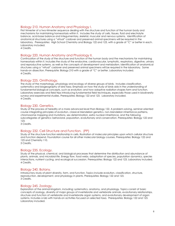#### Biology 210. Human Anatomy and Physiology I.

First trimester of a two-trimester sequence dealing with the structure and function of the human body and mechanisms for maintaining homeostasis within it. Includes the study of cells, tissues, fluid and electrolyte balance, acid-base balance and integumentary, skeletal, muscular and nervous systems. Identification of anatomical structures using a "virtual" cadaver and preserved animal specimens will be required in the laboratory. Prerequisites: High School Chemistry and Biology 122 and 123, with a grade of "C" or better in each. Laboratory included.

4 Credits.

#### Biology 220. Human Anatomy and Physiology II.

Continuation of the study of the structure and function of the human body and the mechanisms for maintaining homeostasis within it. Includes the study of the endocrine, cardiovascular, lymphatic, respiratory, digestive, urinary and reproductive systems, as well as the concepts of development and metabolism. Identification of anatomical structures using a "virtual" cadaver and preserved animal specimens will be required in the laboratory. Some hands-on dissection. Prerequisite: Biology 210 with a grade of "C" or better. Laboratory included. 4 Credits.

#### Biology 225. Ornithology.

The study of the morphology, physiology and ecology of diverse groups of birds. Includes classification, systematics and biogeography of bird taxa. Emphasis on how the study of birds aids in the understanding of fundamental biological concepts, such as evolution; and how adaptive radiation shapes form and function. Laboratory exercises and field trips introducing fundamental field techniques, especially those used in biodiversity surveys and experimental studies. Prerequisites: Biology 122 and 123. Laboratory included. 4 Credits.

#### Biology 230. Genetics.

Study of the process of heredity at a more advanced level than Biology 122. A problem-solving, seminar-oriented course integrating principles of evolution, classical Mendelian genetics, non-Mendelian inheritance patterns, chromosome mapping and mutations, sex determination, extra nuclear inheritance, and the following subcategories of genetics: behavioral, population, evolutionary and conservation. Prerequisites: Biology 122 and 123

3 Credits.

#### Biology 232. Cell Structure and Function. (PP)

Study of the structure-function relationship in cells. Illustration of molecular principles upon which cellular structure and function depend. Foundation course for all other molecular biology courses. Prerequisites: Biology 122 and 123 and Chemistry 110.

3 Credits.

#### Biology 235. Ecology.

Study of the physical, chemical, and biological processes that determine the distribution and abundance of plants, animals, and microbial life. Energy flow, food webs, adaptation of species, population dynamics, species interactions, nutrient cycling, and ecological succession. Prerequisites: Biology 122 and 123. Laboratory included. 4 Credits.

#### Biology 240. Botany.

Introductory study of plant diversity, form, and function. Topics include evolution, classification, structure, reproduction, development, and physiology in plants. Prerequisites: Biology 122 and 123. 3 Credits.

#### Biology 245. Zoology.

Exploration of the animal kingdom, including: systematics, anatomy, and physiology. Topics consist of basic concepts of zoology, diversity of major groups of invertebrate and vertebrate animals, evolutionary relationships, structure and function of vertebrate and invertebrate organ systems, and evolutionary development of organ systems. Includes a lab with hands-on activities focused on selected taxa. Prerequisites: Biology 122 and 123. Laboratory included.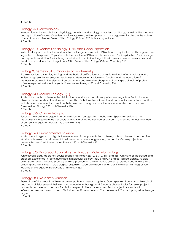4 Credits.

#### Biology 250. Microbiology.

Introduction to the morphology, physiology, genetics, and ecology of bacteria and fungi, as well as the structure and replication of viruses. Overview of microorganisms, with emphasis on those organisms involved in the natural history of human disease. Prerequisites: Biology 122 and 123. Laboratory included. 4 Credits.

#### Biology 310. Molecular Biology: DNA and Gene Expression.

In depth study on the structure and function of the genetic material, DNA, how it is replicated and how genes are regulated and expressed. Topics include the structure of DNA and chromosomes, DNA replication, DNA damage and repair, transcription, RNA splicing, translation, transcriptional regulation in prokaryotes and eukaryotes, and the structure and function of regulatory RNAs. Prerequisites: Biology 230 and Chemistry 210. 3 Credits.

#### Biology/Chemistry 315. Principles of Biochemistry.

Protein structure, dynamics, folding, and methods of purification and analysis. Methods of enzymology and a review of representative enzyme mechanisms. Membrane structure and function and the operation of membrane proteins in the electron transport chain and oxidative phosphorylation. A special topic of protein science explored in student projects. Prerequisites: Biology 232 and Chemistry 210. 3 Credits.

#### Biology 340. Marine Ecology. (IL)

Study of factors that influence the distribution, abundance, and diversity of marine organisms. Topics include physical characteristics of marine and coastal habitats, larval recruitment, and community interactions. Habitats include open ocean rocky shore, tidal flats, beaches, mangrove, sub tidal areas, estuaries, and coral reefs. Prerequisites: Biology 235 and Chemistry 110. 3 Credits.

#### Biology 355. Cancer Biology.

Focus on how cells and organs interact via biochemical signaling mechanisms. Special attention to the mechanisms that govern the cell cycle and how a disrupted cell causes cancer. Cancer and various treatments discussed. Prerequisites: Biology 230 and Biology 232. 3 Credits.

#### Biology 360. Environmental Science.

Study of local, regional, and global environmental issues primarily from a biological and chemical perspective. May include issues of environmental policy and economics, engineering, and ethics. Course project and presentation required. Prerequisites: Biology 235 and Chemistry 111. 3 Credits.

#### Biology 373. Biological Laboratory Techniques: Molecular Biology.

Junior level biology laboratory course supporting Biology 230, 232, 310, 315, and 355. A mixture of theoretical and practical experience in techniques used in molecular biology, including PCR and cell-based cloning, nucleic acid hybridization, genomic structure analysis, proteomics, bioinformatics, protein expression and analysis, and culturing and identifying microbiological organisms. Laboratory reports and scientific writing skills integral. Corequisite or prerequisite: Biology 230 and Biology 232. 2 Credits.

#### Biology 380. Research Seminar

Exploration of the breadth of biology career paths and research options. Guest speakers from various biological and medical fields present their work and educational background. Students choose topics for senior project proposals and research methods for discipline specific literature searches. Senior project proposals with references are due by end of term. Discipline-specific resumes and C.V. developed. Course is pass/fail for biology majors.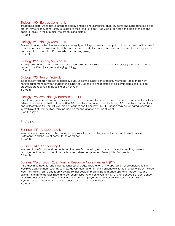#### Biology 490. Biology Seminar I.

Broadened exposure to active areas of biology and reading current literature. Students encouraged to read and present reviews of current literature related to their senior projects. Required of seniors in the biology major and open to seniors in the ID major who are studying biology. 1 Credit.

#### Biology 491. Biology Seminar II.

Review of current ethical issues in science. Integrity in biological research and publication; discussion of the use of humans and animals in research, intellectual property, and other topics. Required of seniors in the biology major and open to seniors in the ID major who are studying biology. 1 Credit.

#### Biology 492. Biology Seminar III.

Public presentation of undergraduate biological research. Required of seniors in the biology major and open to seniors in the ID major who are studying biology. 1 Credit.

#### Biology 495. Senior Project.

Independent research project or scholarly study under the supervision of faculty members. Topic chosen by mutual agreement between student and supervisor. Limited to and required of biology majors. Senior project proposals are required in the spring of junior year. 3 Credits.

#### Biology 298, 398. Biology Internship. (EE)

Credit and requirements variable. Proposals must be approved by head of major. Students may apply for Biology 298 after one year and at least two 200- or 300-level biology courses, and for Biology 398 after two years of study and at least three 200- or 300-level biology courses and Chemistry 110/111. Course may be repeated for credit. Internships at other institutions must be applied for and arranged by the student. Credit variable.

#### <span id="page-7-0"></span>Business

#### Business 141. Accounting I.

Introduction to basic financial accounting principles, the accounting cycle, the preparation of financial statements, and the use of computer spreadsheets. 3 Credits.

#### Business 142. Accounting II.

Interpretation of financial statements and the use of accounting information as a tool for making business management decisions. Use of computer spreadsheets emphasized. Prerequisite: Business 141. 3 Credits.

#### Business/Psychology 202. Human Resource Management. (PP)

(Also known as industrial and organizational psychology.) Exploration of the application of psychology to the workplace environment, such as business, government, and non-profit organizations. Major areas of study include work motivation, teams and teamwork, personnel decision-making, performance appraisal, leadership, and diversity in terms of gender, race, and personality type. Attention given to New Church concepts of conscience, discriminatory charity, and use as they apply to adult employment in our current workforce. Prerequisite: Psychology 101, a business/economics course, or permission of instructor. 3 Credits.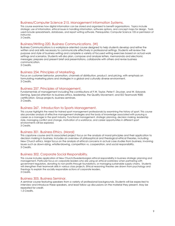#### Business/Computer Science 215. Management Information Systems.

This course examines how digital information can be stored and organized to benefit organizations. Topics include strategic use of information, ethical issues in handling information, software options, and concept maps for design. Tools used include spreadsheets, databases, and report writing software. Prerequisites: Computer Science 105 or permission of instructor.

3 Credits.

#### Business/Writing 220. Business Communications. (W)

Business Communications is a workplace-oriented course designed to help students develop and refine the written and oral skills necessary to communicate effectively in professional settings. Students will review the purpose and style of business writing and complete a variety of focused writing exercises based on actual work settings and scenarios. Students will also plan, compose and analyze letters, memoranda and electronic messages; prepare and present brief oral presentations, collaborate with others and revise business communication.

3 Credits.

#### Business 254. Principles of Marketing.

Focus on customer behavior, promotion, channels of distribution, product, and pricing, with emphasis on formulating marketing plans and strategies in a global and culturally diverse environment. 3 Credits.

#### Business 257. Principles of Management.

Fundamentals of management including the contributions of F.W. Taylor, Peter F. Drucker, and W. Edwards Deming. Special attention to business ethics, leadership, the Quality Movement, and ISO Teamwork 9000 certification. Group projects, business seminars. 3 Credits.

#### Business 267. Introduction to Sports Management.

This course highlights the need for trained sport management professionals by examining the history of sport. This course also provides analysis of effective management strategies and the body of knowledge associated with pursuing a career as a manager in the sport industry. Functional management, strategic planning, decision making, leadership style, managing conflict and change, motivation of a workforce, and career opportunities in different sport environments will be explored.

3 Credits.

#### Business 301. Business Ethics. (Moral)

This capstone course and its associated project focus on the analysis of moral principles and their application to decision making in business. Includes an overview of philosophical and theological ethical theories, including New Church ethics. Major focus on the analysis of ethical concerns in actual case studies from business, involving issues such as down-sizing, whistle-blowing, competition vs. cooperation, and social responsibility. 3 Credits.

#### Business 302. Corporate Social Responsibility.

This course includes application of New Church/Swedenborgian ethical responsibility in business strategic planning and management. Particular focus on corporate leaders who are using an ethical worldview when partnering with government regulators, donating to non-profits through foundations, or managing sustainable supply chains. Students will strengthen their teamwork skills in various class projects. Ethical reasoning theories are drawn from psychology and theology to explain the socially responsible actions of corporate leaders. 3 Credits.

#### Business 305. Business Seminar.

A seminar course featuring speakers from a variety of professional backgrounds. Students will be expected to interview and introduce these speakers, and lead follow-up discussions on the material they present. May be repeated for credit.

1.5 Credits.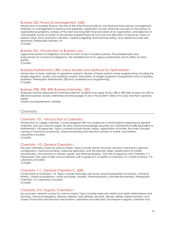#### Business 320. Financial Management. (QR)

Introduction to business finance, the role of the chief financial officer, and financial tools used by management. Emphasis on management of revenue and expenses, application of basic financial concepts to the solution of organizational problems, analysis of the short and long-term financial needs of an organization, and selection of most feasible course of action to secure best possible financial outcome and allocation of resources. Topics of present value, stock and bond valuation, capital budgeting, financial forecasting, and capital structures also examined. Prerequisite: Business 141.

3 Credits.

#### Business 351. Introduction to Business Law.

Legal enforcement of obligations and the function of law in modern business. The establishment and enforcement of contractual obligations. The establishment of an agency relationship and its effect on third parties.

3 Credits.

#### Business/Mathematics 380. Linear Models and Methods for Optimization.

Introduction to basic methods of operations research. Review of linear systems; linear programming, including the simplex algorithm, duality, and sensitivity analysis; formulation of integer programs; transportation and scheduling problems. Prerequisite: Mathematics 230 and competence in programming. 3 Credits.

#### Business 298, 398, 498. Business Internship. (EE)

Proposals must be approved by Internship Director. Students may apply for Bus 298 or 398 after at least two 200 or 300 level business courses. Internships are encouraged to be in the student's field of ID study and their capstone paper.

Credits and requirements variable.

#### <span id="page-9-0"></span>**Chemistry**

#### Chemistry 101. Introduction to Chemistry.

Introduction to college chemistry. Course designed with two audiences in mind-students preparing for general chemistry, and non-science majors. No prior chemical knowledge assumed, but mathematical skills equivalent to Mathematics 100 expected. Topics covered include atomic theory, organization of matter, the mole concept, naming of chemical compounds, chemical bonding and reactions, phases of matter, and kinetics. Laboratory included.

4 Credits.

#### Chemistry 110. General Chemistry I.

First year chemistry course for science majors. Topics include atomic structure, quantum mechanics, electron configuration, chemical bonding, molecular geometry, and the periodic table, classifications of matter, stoichiometry, and reactions in solution, gases, and thermochemistry. First half of sequence with Chemistry 111. Prerequisite: One year of high school chemistry with a grade of C or better or Chemistry 101 or Earth Science 110. Laboratory included.

4 Credits.

#### Chemistry 111. General Chemistry II. (QR)

Continuation of Chemistry 110. Topics include intermolecular forces, physical properties of solutions, chemical kinetics, chemical equilibrium, acids and bases, solubility, thermodynamics, and electrochemistry. Prerequisite: Chemistry 110. Laboratory included.

4 Credits.

#### Chemistry 210. Organic Chemistry I.

Second year chemistry course for science majors. Topics include molecular orbital and hybrid orbital theory and bonding, chemical energetics, alkanes, alkenes, halo alkanes, alcohols, alkynes, dienes, stereochemistry, and classes of reactions and reaction mechanisms. Laboratory includes basic techniques in organic chemistry and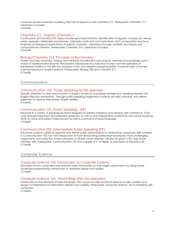computer based molecular modeling. First half of sequence with Chemistry 211. Prerequisite: Chemistry 111. Laboratory included.

4 Credits.

#### Chemistry 211. Organic Chemistry II.

Continuation of Chemistry 210. Topics include spectrophotometric identification of organic compounds, arenes, esters, epoxides, aldehydes and ketones, carboxylic acids and acid derivatives, and condensation reactions. Emphasis on biological applications of organic chemistry. Laboratory includes synthetic techniques and computational chemistry. Prerequisite: Chemistry 210. Laboratory included. 4 Credits.

#### Biology/Chemistry 315. Principles of Biochemistry.

Protein structure, dynamics, folding, and methods of purification and analysis. Methods of enzymology and a review of representative enzyme mechanisms. Membrane structure and function and the operation of membrane proteins in the electron transport chain and oxidative phosphorylation. A special topic of protein science explored in student projects. Prerequisites: Biology 232 and Chemistry 211. 3 Credits.

#### <span id="page-10-0"></span>Communication

#### Communication 100. Public Speaking for ESL Speakers

Specific attention to clear pronunciation in English, as well as to building confidence in speaking fluently with English inflection and rhythm. Through public speaking assignments students will draft, practice, and deliver speeches to improve their spoken English abilities. 3 Credits.

#### Communication 105. Public Speaking. (PP)

Exposure to a variety of speaking situations designed to address inhibitions and develop self-confidence. Class work features impromptu and prepared speeches, as well as oral interpretation of literature and choral speaking. Work on voice and speech improvement as well as command of body language. 3 Credits.

#### Communication 205. Intermediate Public Speaking (PP)

Advances student's ability to organize and deliver public presentations of varied kinds, using basic skills covered in Communication 105, but with introduction of more demanding professional techniques, more challenging assignments, and more fine-tuned cultivation of all skills. Some attention will also be given in this class to job interview skills. Prerequisite: Communication 105 with a grade of C or higher, or permission of the instructor. 3 Credits.

#### <span id="page-10-1"></span>Computer Science

#### Computer Science 105. Introduction to Computer Systems.

Discussion of how computers and networks work; introduction to web page construction, including simple JavaScript programming; introduction to database design and queries. 3 Credits.

#### Computer Science 160. World Wide Web Development.

Introduction to the elements of web site design. The course includes technical aspects of web creation and design considerations for information delivery and usability. Prerequisite: Computer Science 105 or familiarity with computers.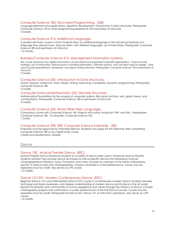#### Computer Science 180. Structured Programming. (QR)

Language elements and applications. Algorithm development. Introduction to data structures. Prerequisite: Computer Science 105 or other programming experience with permission of instructor. 3 Credits.

#### Computer Science 210. Additional Languages.

A guided self-study course in which students learn an additional language or the advanced features of a language they already know. May be taken, with different languages, up to three times. Prerequisite: Computer Science 180 and permission of instructor. 1-3 Credits.

#### Business/Computer Science 215. Management Information Systems.

This course examines how digital information can be stored and organized to benefit organizations. Topics include strategic use of information, ethical issues in handling information, software options, and concept maps for design. Tools used include spreadsheets, databases, and report writing software. Prerequisites: Computer Science 105 or permission of instructor.

3 Credits.

#### Computer Science 220. Introduction to Data Structures.

Stacks, Queues, Linked Lists, Trees, Heaps, Sorting, Searching, Complexity, Dynamic programming. Prerequisite: Computer Science 180.

3 Credits.

#### Computer Science/Mathematics 235. Discrete Structures.

Mathematical foundations for the analysis of computer systems. Recursive functions, sets, graph theory, and combinatorics. Prerequisite: Computer Science 180 or permission of instructor. 3 Credits.

#### Computer Science 260. World Wide Web Languages.

Companion course with Computer Science 160. Projects will involve JavaScript, PHP, and XML. Prerequisite: Computer Science 180. Co-requisite: Computer Science 160. 1 Credit.

#### Computer Science 298, 398. Computer Science Internship. (EE)

Proposals must be approved by Internship Director. Students may apply for this internship after completing Computer Science 180 or any higher level course.

Credits and requirements variable.

#### <span id="page-11-0"></span>Dance

#### Dance 130. Musical Theater Dance. (EEC)

Musical Theater Dance introduces students to a variety of dance styles used in American Musical Theatre. Students will learn tap and jazz dance technique as well as specific dances from Broadway musicals choreographed by Robbins, Fosse, Champion, and more. Includes an overview of the history of Broadway, specific to dance styles and choreographers. Course culminates in a final performance. Course may be repeated once for credit. Also serves as a PE course. 1.5 Credits.

#### Dance 131/231. Modern Contemporary Dance. (EEC)

Beginner (Dance 131) and Intermediate (Dance 231) course in contemporary modern dance. Students develop technique and body awareness, and deeper understanding of modern dance and its place in the art world. Explore the diversity and commonality of human experience and values through the medium of dance. Includes choreography projects and culminates in a public performance at the Fall Dance Concert. Course may be repeated once for credit. Prerequisite for Dance 231: Dance 131 or instructor's permission. Also serves as a PE course.

1.5 Credits.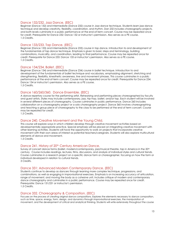#### Dance 132/232. Jazz Dance. (EEC)

Beginner (Dance 132) and Intermediate (Dance 232) course in Jazz dance technique. Students learn jazz dance technique and develop creativity, flexibility, coordination, and rhythm. Dan 232 includes choreography projects, and both levels culminate in a public performance at the end-of-term concert. Course may be repeated once for credit. Prerequisite for Dance 232: Dance 132 or instructor's permission. Also serves as a PE course. 1.5 Credits.

#### Dance 133/233. Tap Dance. (EEC)

Beginner (Dance 133) and Intermediate (Dance 233) course in tap dance. Introduction to and development of the fundamentals of tap dance technique. Emphasis is given to basic steps and terminology, building combinations, musicality, and coordination, leading to final performance. Course may be repeated once for credit. Prerequisite for Dance 233: Dance 133 or instructor's permission. Also serves as a PE course. 1.5 Credits.

#### Dance 134/234. Ballet. (EEC)

Beginner (Dance 134) and Intermediate (Dance 234) course in ballet technique. Introduction to and development of the fundamentals of ballet technique and vocabulary, emphasizing alignment, stretching and strengthening, flexibility, kinesthetic awareness, line and movement phrases. This course culminates in a public performance at the end-of-term concert. Course may be repeated once for credit. Prerequisite for Dance 234: Dance 134 or instructor's permission. Also serves as a PE course. 1.5 Credits.

#### Dance 160/260/360. Dance Ensemble. (EEC)

A dance repertory course for the performing artist. Rehearsing and performing pieces choreographed by faculty and guest artists. Styles may include contemporary, jazz, hip-hop, ballet, and/or tap. Each student will be involved in several different pieces of choreography. Course culminates in public performance. Dance 260 includes collaboration on a choreography project or a solo choreography project. Dance 360 involves choreographing and teaching a group piece of choreography to the class to be performed at the end of term concert. Course may be repeated for credit.

1.5 Credits.

#### Dance 240. Creative Movement and the Young Child.

This course will explore ways in which children develop through creative movement activities based on developmentally appropriate practice. Special emphasis will be placed on integrating creative movement with other learning activities. Students will have the opportunity to work on projects that incorporate creative movement with their own areas of interest as potential teachers/caregivers. Students will also explore multicultural elements of dance and movement.

1.5 Credits.

#### Dance 241. History of 20<sup>th</sup> Century American Dance.

Survey of concert dance forms (ballet, modern/contemporary, jazz/musical theatre, tap in America in the 20<sup>th</sup> century. Course includes readings, lectures, films, discussions, and analysis of individual styles and cultural trends. Course culminates in a research project on a specific dance form or choreographer, focusing on how the form or individual developed in relation to cultural trends. 3 Credits.

#### Dance 331: Advanced Modern Contemporary Dance. (EEC)

Students continue to develop as dancers through learning more complex technique, progressions, and combinations, as well as engaging in improvisational exercises. Emphasis is on increasing accuracy of articulation, range of movement, and moving the body as a cohesive unit. Includes critique of modern and contemporary dance choreography and culminates in a public performance. Course may be repeated once for credit. Prerequisite: Dance 131/231 or instructor's permission. 1.5 Credits.

#### Dance 332. Choreography & Composition. (EEC)

Focuses on the process of creating original dance compositions. Explores the elements necessary to dance composition, such as time, space, energy, form, design, and dynamics through improvisational exercises, the manipulation of movement, and the development of critical and analytical thinking. Students will write extensively throughout the course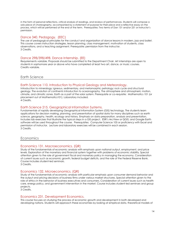in the form of personal reflections, critical analysis of readings, and reviews of performances. Students will compose a solo piece of choreography, accompanied by a statement of purpose for their piece and a reflective essay on the process, which will be performed at the end of the term. Prerequisites: Two terms of Dan 131 and/or 231 or instructor's permission.

#### Dance 340. Pedagogy. (EEC)

The use of pedagogical principles for the conduct and organization of dance lessons in modern, jazz and ballet. This course covers instruction strategies, lesson planning, class management, motivation of students, class observations, and a teaching assignment. Prerequisite: permission from the instructor. 3 Credits.

#### Dance 298/398/498. Dance Internship. (EE)

Requirements variable. Proposals should be submitted to the Department Chair. Art internships are open to students in sophomore year or above who have completed at least two art, dance, or music courses. Credits variable.

#### <span id="page-13-0"></span>Earth Science

#### Earth Science 110. Introduction to Physical Geology and Meteorology.

Introduction to mineralogy; igneous, sedimentary, and metamorphic petrology; rock cycle and structural geology. The evolution of continents Introduction to oceanography. The atmosphere and atmospheric motion, climate, and climatic zones. Earth as a part of the solar system. Prerequisite or co-requisite: Mathematics 101 (or placement out of Mathematics101). Laboratory included. 4 Credits.

#### Earth Science 215. Geographical Information Systems.

Fundamentals of rapidly developing Geographical Information System (GIS) technology. The students learn applications for decision making, planning, and presentation of spatial data for many disciplines such as earth science, geography, health, ecology and history. Emphasis on data preparation, analysis and presentation. Includes lab exercises that illustrate the typical steps in a GIS project. ESRI's ArcView or QGIS, and Google Earth software will be used throughout the course. Prerequisites: Computer Science 105 or proficiency with Excel and permission of instructor. Lecture and laboratory exercises will be combined in each session. 3 Credits.

#### <span id="page-13-1"></span>Economics

#### Economics 131. Macroeconomics. (QR)

Study of the fundamentals of economic analysis with emphasis upon national output, employment, and price levels. Exploration of the monetary and financial system together with problems of economic stability. Special attention given to the role of government fiscal and monetary policy in managing the economy. Consideration of current issues such as economic growth, federal budget deficits, and the role of the Federal Reserve Bank. Course includes student-led seminars.

3 Credits.

#### Economics 132. Microeconomics. (QR)

Study of the fundamentals of economic analysis with particular emphasis upon consumer demand behavior and the output and pricing decisions of business firms under various market structures. Special attention given to the role of ethics in the behavior of business executives and consumers. Consideration of current issues such as health care, energy policy, and government intervention in the market. Course includes student-led seminars and group projects.

3 Credits.

#### Economics 231. Development Economics.

This course focuses on studying the process of economic growth and development in both developed and developing nations. Students will approach these economies by looking at empirical data, theoretical models of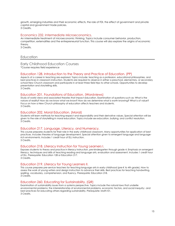growth, emerging industries and their economic effects, the role of FDI, the effect of government and private capital and government trade policies. 3 Credits.

#### Economics 232. Intermediate Microeconomics.

An intermediate treatment of microeconomic thinking. Topics include consumer behavior, production, competition, externalities and the entrepreneurial function. This course will also explore the origins of economic theory.

3 Credits.

#### <span id="page-14-0"></span>Education

#### <span id="page-14-1"></span>Early Childhood Education Courses

\*Course requires field experience

#### Education 128. Introduction to the Theory and Practice of Education. (PP)

Aspects of a career in teaching are explored. Topics include: teaching as a profession, educational philosophies, and best practices in classroom instruction. Students are required to observe in either a preschool, elementary, or secondary school New Church classroom and participate in at least three field trips to other schools. Opportunities to develop presentation and storytelling skills. 3 Credits.

#### Education 201. Foundations of Education. (Wordviews)

Study of world views and associated theories that impact education. Examination of questions such as: What is the nature of reality? How do we know what we know? How do we determine what is worth knowing? What is of value? Focus on how a New Church philosophy of education affects teachers and students. 3 Credits.

#### Education 202. Moral Education. (Moral)

Students will learn methods for teaching respect and responsibility and their derivative values. Special attention will be given to the role of storytelling in moral education. Topics include sex education, bullying, and conflict resolution. 3 Credits.

#### Education 217. Language, Literacy, and Numeracy.

This course prepares students for their role in the early childhood classroom. Many opportunities for application of best practices. Includes theories of language development. Special attention given to emergent language and languagerich environments. Includes 1 credit hour of ELL instruction. 3 Credits.

#### Education 218. Literacy Instruction for Young Learners I.

Exposes students to theory and practice in literacy instruction, pre-kindergarten through grade 4. Emphasis on emergent literacy, techniques and skills of teaching reading and language arts, evaluation and assessment. Includes 1 credit hour of ELL. Prerequisite: Education 128 or Education 217. 3 Credits.

#### Education 219. Literacy for Young Learners II.

This course prepares pre-service teachers for teaching language arts in early childhood (pre-K to 4th grade). How to assess the work of young writers and design instruction to advance their skills. Best practices for teaching handwriting, spelling, vocabulary, comprehension, and fluency. Prerequisite: Education 218. 3 Credits.

#### Education 260. Educating for Sustainability. (QR)

Examination of sustainability issues from a systems perspective. Topics include the natural laws that underlie environmental problems; the interrelationship of environmental problems, economic factors, and social inequity;- and best practices for educating others regarding sustainability. Prerequisite: Math101. 3 Credits.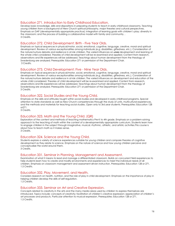#### Education 271. Introduction to Early Childhood Education.

Develop basic knowledge, skills and dispositions in preparing students to teach in early childhood classrooms. Teaching young children from a background of New Church spiritual philosophy, major theories and cultural perspectives. Emphasis on DAP (developmentally appropriate practice); integration of learning goals with children's play; diversity in the classroom; and the process of building a collaborative model with family and community. . 3 Credits.

#### Education 272. Child Development: Birth - Five Year Olds.

Emphasis on typical sequences in physical/motor, social, emotional, cognitive, language, creative, moral and spiritual development. Review of various exceptionalities among individuals (e.g. disabilities, giftedness, etc.). Consideration of the nature/nurture debate and resilience in at-risk children. The varied influences on child development and learning of the whole child considered. Theories of child development will be re-examined and applied. Content from research, observations and life experiences will be addressed. Teachings about human development from the theology of Swedenborg are analyzed. Prerequisite: Education 271 or permission of the Department Chair. 3 Credits.

#### Education 273. Child Development: Five - Nine Year Olds.

Emphasis on typical sequences in physical/motor, social, emotional, cognitive, language, creative, moral and spiritual development. Review of various exceptionalities among individuals (e.g. disabilities, giftedness, etc.). Consideration of the nature/nurture debate and resilience in at-risk children. The varied influences on development and education of the whole child considered. Theories of child development will be re-examined and applied. Content from research, observations and life experiences will be addressed. Teachings about human development from the theology of Swedenborg are analyzed. Prerequisite: Education 271 or permission of the Department Chair. 3 Credits.

#### Education 322. Social Studies and the Young Child.

Emphasis on the skills and attitudes taught within social studies and developed in early childhood programs. Special attention to state standards as well as New Church competencies through the study of units, multicultural experiences, and the methods and materials for teaching social studies. Open only to 3rd year students. Prerequisites: Education 128 or271.

3 Credits.

#### Education 323. Math and the Young Child. (QR)

Exploration of the content and methods of teaching mathematics Pre-K to 4th grade. Emphasis on a problem-solving approach to the teaching of math within the context of a developmentally appropriate curriculum. Students learn how to engage children in the subject through imaginative, musical, rhythmic, athletic, and artistic activities.This course is about how to teach math so it makes sense. 3 Credits.

#### Education 324. Science and the Young Child.

Students explore a variety of science experiences suitable for young children and compare theories of cognitive development as they relate to science. Emphasis on the nature of science and how young children perceive and conceptualize the world around them. 3 Credits.

#### Education 331. Seminar in Planning, Management and Assessment.

Examination of what it means to lead and manage a differentiated classroom. Builds on concurrent field experiences to help students learn how to create and modify environments and experiences to meet the individual needs of all children. Emphasis on classroom management and assessment-driven instruction. Prerequisites: Education 128 or 271. 1.5 Credits.

#### Education 332. Play, Movement, and Health.

Considers research on health, nutrition, and the role of play in child development. Emphasis on the importance of play in helping children develop the skills of self-regulation.

1.5 Credits.

#### Education 333. Seminar on Art and Creative Expression.

Concepts related to creativity in the arts and the many media areas used by children to express themselves are introduced. Topics include: concepts of creativity; facilitation of children's creative expression; appreciation of children's art processes and products. Particular attention to musical expression. Prerequisites: Education 128 or 271. 1.5 Credits.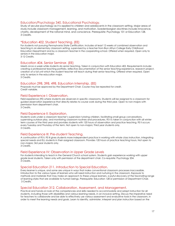#### Education/Psychology 340. Educational Psychology.

Study of secular psychology as it is applied to children and adolescents in the classroom setting. Major areas of study include classroom management, learning, and motivation. Swedenborgian doctrines include innocence, charity, development of the rational mind, and conscience. Prerequisite: Psychology 101 or Education 128. 3 Credits.

#### \*Education 402. Student Teaching. (EE)

For students not pursuing Pennsylvania State Certification. Includes at least 12 weeks of combined observation and teaching in an elementary classroom setting, supervised by a teacher from Bryn Athyn College Early Childhood Education Department and by a classroom teacher in the cooperating school. Offered when required. Open only to seniors in the education major.

3-12 Credits.

#### Education 404. Senior Seminar. (EE)

Meets once a week while students do senior teaching. Taken in conjunction with Education 402. Requirements include: creating a professional teaching portfolio, reflective documentation of the senior teaching experience, research project, creation of a full unit which the student teacher will teach during their senior teaching. Offered when required. Open only to seniors in the education major.

3 Credits.

#### Education 298, 398, 498. Education Internship. (EE)

Proposals must be approved by the Department Chair. Course may be repeated for credit. Credit variable.

#### Field Experience I: Observation.

Field experience (FE) where students are observers in specific classrooms. Students will be assigned to a classroom for guided observation experience that directly relates to course work during the third year. Open to non-majors with permission from department chair.

3 Credits.

#### Field Experience II: Exploration.

Students work under a classroom teacher's supervision tutoring children, facilitating small group conversations, supervising outdoor play, and monitoring classroom routines and procedures. FE II is taken in conjunction with all winter term courses of the third year and provides students with 120 hours of observation and practice teaching. FE II occurs every Tuesday and Thursday of the term. Not open to non-majors; Third year students only. 3 Credits.

#### Field Experience III: Pre-student Teaching.

A continuation of FE II, FE III gives students more independent practice in working with whole class instruction, integrating special needs and ELL students in their assigned classroom. Provides 120 hours of practice teaching hours. Not open to non-majors; 3rd year students only.

3 Credits.

#### Field Experience IV: Observation in Upper Grade Levels

For students intending to teach in the General Church school system. Students gain experience working with upper grade level students. Taken only with permission of the department chair. Co-requisite: Psychology 204. 3 Credits.

#### Special Education 211. Introduction to Special Education.

Every learner is unique, and some are unique in ways that make conventional classroom processes inaccessible. Introduction to the various types of learners who will need instruction and nurturing in the classroom. Exposure to methods and materials that may make an approach to these unique learners, a joyful discovery of the fascinating range of learning styles that are available to human beings. Prerequisite: Education 128 or permission of Department Chair. 3 Credits.

#### Special Education 312. Collaboration, Assessment, and Management.

Practical and hands-on look at the competencies and skills needed to accommodate and adapt instruction for all students, including those with disabilities and various learning needs, in an inclusive setting. Discuss the imperative need for teachers to collaborate and be able to effectively use various assessment and evaluative tools in the classroom, in order to meet the learning needs and goals. Learn to identify, administer, interpret and plan instruction based on the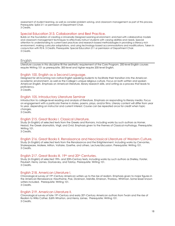assessment of student learning, as well as consider problem solving, and classroom management as part of this process. Prerequisite: SpEd 211 or permission of Department Chair. 3 Credits.

#### Special Education 313. Collaboration and Best Practice.

Builds on the foundation of creating a Universally Designed Learning environment, enriched with collaborative models and classroom management techniques to effectively instruct students with varying abilities and needs. Special attention to understanding to current best practices and research-based methodologies in providing a literacy-rich environment, making curricular adaptations, and using technology-based accommodations and modifications. Taken in conjunction with FE III. 3 Credits. Prerequisite: Special Education 211 or permission of Department Chair. 3 Credits.

#### <span id="page-17-0"></span>English

Literature courses in this discipline fill the aesthetic requirement of the Core Program. 200-level English courses require Writing 101 as prerequisite. 300-level and higher require 200-level English.

#### English 100. English as a Second Language.

Designed for all incoming non-native English speaking students to facilitate their transition into the American academic environment, as well as the College's unique religious culture. Focus on both written and spoken American English. Emphasis on American literature, library research skills, and writing as a process that leads to proficiency.

3 Credits.

#### English 105. Introductory Literature Seminar

Introduction to college-level reading and analysis of literature. Emphasis on responding to literary media. Focus on engagement with a particular theme in stories, poems, plays, and/or films. Literary content will differ from year to year, depending on instructor and current interest. Course can be repeated once for credit when topic changes.

3 Credits.

#### English 215. Great Books I. Classical Literature.

Study (in English) of selected texts from the Greeks and Romans, including works by such authors as Homer, Hesiod, the Greek dramatists, Virgil, and Ovid. Emphasis given to the themes of Classical mythology. Prerequisite: Writing 101.

3 Credits.

#### English 216. Great Books II. Renaissance and Neoclassical Literature of Western Culture.

Study (in English) of selected texts from the Renaissance and the Enlightenment, including works by Cervantes, Shakespeare, Moliere, Milton, Voltaire, Goethe, and others. Lecture/discussion. Prerequisite: Writing 101. 3 Credits.

#### English 217. Great Books III. 19th and 20th Centuries.

Study (in English) of selected 19th- and 20th-Century texts, including works by such authors as Shelley, Forster, Flaubert, Henry James, Dostoevsky, and Tolstoy. Prerequisite: Writing 101. 3 Credits.

#### English 218. American Literature I.

Chronological survey of 19th-Century American writers up to the rise of realism. Emphasis given to major figures in the American Renaissance: Hawthorne, Poe, Dickinson, Melville, Emerson, Thoreau, Whitman. Some lesser known writers included. Prerequisite: Writing 101. 3 Credits.

#### English 219. American Literature II.

Chronological survey of late 19th-Century and early 20th-Century American authors from Twain and the rise of Realism to Willa Cather, Edith Wharton, and Henry James. Prerequisite: Writing 101. 3 Credits.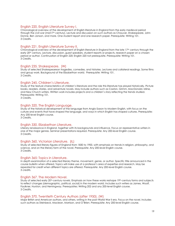#### English 220. English Literature Survey I.

Chronological overview of the development of English literature in England from the early medieval period through the civil war (mid17th century). Lecture and discussion on such authors as Chaucer, Shakespeare, John Donne, Ben Jonson, and more. One student report and one research paper. Prerequisite: Writing 101. 3 Credits.

#### English 221. English Literature Survey II.

Chronological overview of the development of English literature in England from the late 17th century through the early 20<sup>th</sup> century. Lecture, discussion, guest speakers, student reports or projects, research paper on a chosen period or author. Continuation of English 220; English 220 not prerequisite. Prerequisite: Writing 101. 3 Credits.

#### English 235. Shakespeare. (W)

Study of selected Shakespearean tragedies, comedies, and histories. Lectures and collateral readings. Some films and group work. Background of the Elizabethan world. Prerequisite: Writing 101. 3 Credits.

#### English 245. Children's Literature.

Study of the textual characteristics of children's literature and the role this literature has played historically. Picture books, readers, stories, and adventure novels. May include authors such as Caxton, Grimm, MacDonald, Milne, and New Church writers. Written work includes projects and a children's story reflecting the trends studied. Prerequisite: Writing 101.

3 Credits.

#### English 320. The English Language.

Study of the historical development of the language from Anglo-Saxon to Modern English, with focus on the culture and events that have shaped the language, and ways in which English has shaped cultures. Prerequisite: Any 200-level English course. 3 Credits.

#### English 330. Elizabethan Literature.

Literary renaissance in England, together with its backgrounds and influence. Focus on representative writers in one of the major genres. Seminar presentations required. Prerequisite: Any 200-level English course. 3 Credits.

#### English 360. Victorian Literature. (IL)

Study of selected literary figures of England from 1830 to 1900, with emphasis on trends in religion, philosophy, and science, and on the literary form of the novel. Prerequisite: Any 200-level English course. 3 Credits.

#### English 365: Topics in Literature.

In depth examination of a selected literary theme, movement, genre, or author. Specific title announced in the course bulletin when offered. Topics will make use of a professor's area of expertise and research. May be repeated for credit when different topics are offered. Prerequisite: Any 200-level English course. 3 credits.

#### English 367. The Modern Novel.

Study of selected early 20th-century novels. Emphasis on how these works reshape 19th-century forms and subjects to reflect changes (demographic, political, social) in the modern world. Includes such writers as James, Woolf, Faulkner, Hurston, and Hemingway. Prerequisites: Writing 202 and any 200-level English course. 3 Credits.

#### English 370. Twentieth Century Authors (after 1950). (W)

Major British and American authors, and others, writing in the post-World War II era. Focus on the novel. Includes such authors as Steinbeck, Maclean, Morrison, and O'Brien. Prerequisite: Any 200-level English course.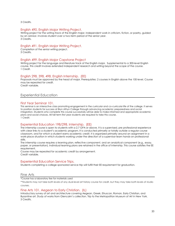3 Credits.

#### English 490. English Major Writing Project.

Writing project for the writing track of the English major. Independent work in criticism, fiction, or poetry, guided by an advisor. Involves student over a two-term period of the senior year. 3 Credits.

#### English 491. English Major Writing Project.

Completion of the senior writing project. 3 Credits.

#### English 499. English Major Capstone Project

Writing project for the language and literature track of the English major. Supplemental to a 300-level English course, this credit involves extended independent research and writing beyond the scope of the course. 1 Credit.

#### English 298, 398, 498. English Internship. (EE)

Proposals must be approved by the head of major. Prerequisites: 2 courses in English above the 100-level. Course may be repeated for credit. Credit variable.

#### <span id="page-19-0"></span>Experiential Education

#### First Year Seminar 101.

This seminar is an interactive class promoting engagement in the curricular and co-curricular life of the college. It serves to position students for success at Bryn Athyn College through advancing academic preparedness and social integration. Students who complete this course successfully will be able to make informed and appropriate academic plans and social choices. All fall term first year students are required to take this course. 1 Credit.

#### Experiential Education 198/298. Internship. (EE)

The internship course is open to students with a 2.7 GPA or above. It is a supervised, pre professional experience with clear links to a student's academic program. It is conducted primarily or totally outside a regular course classroom, and for which a student earns academic credit. It is organized primarily around an assignment in a work-place situation in which students working under the direction of a supervisor learn hands-on professional skills.

The internship course requires a learning plan, reflective component, and an analytical component (e.g., essay, paper, or presentation). Individual learning plans are retained in the office of Internship. This course satisfies the EE requirement.

Course may be repeated for academic credit by arrangement. Credit variable.

#### Experiential Education Service Trips.

Students completing a college sponsored service trip will fulfill their EE requirement for graduation.

<span id="page-19-1"></span>Fine Arts

\*Course has a laboratory fee for materials used

\*\*Students may not take both levels of any dual-level art history course for credit, but they may take both levels of studio courses.

#### Fine Arts 101. Aegean to Early Christian. (IL)

Introductory survey of art and architecture covering Aegean, Greek, Etruscan, Roman, Early Christian, and Byzantine art. Study of works from Glencairn's collection. Trip to the Metropolitan Museum of Art in New York. 3 Credits.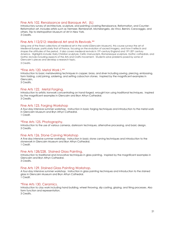#### Fine Arts 102. Renaissance and Baroque Art. (IL)

Introductory survey of architecture, sculpture, and painting covering Renaissance, Reformation, and Counter-Reformation art. Includes artists such as Vermeer, Rembrandt, Michelangelo, da Vinci, Bernini, Caravaggio, and others. Trip to Metropolitan Museum of Art in New York. 3 Credits.

#### Fine Arts 112/212: Medieval Art and Its Revivals.\*\*

Using one of the finest collections of medieval art in the world (Glencairn Museum), this course surveys the art of Medieval Europe, particularly that of France, focusing on the evolution of sacred imagery, and how it reflects and shapes the attitudes of the period. It also covers medieval revivals in 19th-century England and 19th-20th century America. Highlights include: Early Christian sculpture, Celtic manuscripts, Romanesque sculpture, Gothic cathedrals, and Gothic revivals including aspects of the Arts and Crafts movement. Students solve problems posed by some of Glencairn's pieces and develop a research topic.

3 Credits.

#### \*Fine Arts 120. Metal Work I.\*\*

Introduction to basic metalworking techniques in copper, brass, and silver including sawing, piercing, embossing, form folding, cold joining, soldering, and setting cabochon stones. Inspired by the magnificent examples in Glencairn.

3 Credits.

#### Fine Arts 122. Metal Forging.

Introduction to artistic ironwork concentrating on hand-forged, wrought iron using traditional techniques. Inspired by the magnificent examples in Glencairn and Bryn Athyn Cathedral. 3 Credits.

#### Fine Arts 123. Forging Workshop

A four-day intensive summer workshop. Instruction in basic forging techniques and introduction to the metal work in Glencairn Museum and Bryn Athyn Cathedral. 1 Credit.

#### \*Fine Arts 125. Photography.

Introduction to the use of various cameras, darkroom techniques, alternative processing, and basic design. 3 Credits.

#### Fine Arts 126. Stone Carving Workshop

A five-day intensive summer workshop. Instruction in basic stone carving techniques and introduction to the stonework in Glencairn Museum and Bryn Athyn Cathedral. 1 Credit.

#### Fine Arts 128/228. Stained Glass Painting.

Introduction to traditional and innovative techniques in glass painting. Inspired by the magnificent examples in Glencairn and Bryn Athyn Cathedral. 3 Credits.

#### Fine Arts 129. Stained Glass Painting Workshop.

A four-day intensive summer workshop. Instruction in glass painting techniques and introduction to the stained glass in Glencairn Museum and Bryn Athyn Cathedral. 1 Credit.

#### \*Fine Arts 130. Ceramics.

Introduction to clay work including hand building, wheel throwing, slip casting, glazing, and firing processes. Also form function and representation. 3 Credits.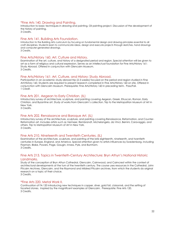#### \*Fine Arts 140. Drawing and Painting.

Introduction to basic techniques in drawing and painting. Oil painting project. Discussion of the development of the history of painting.

3 Credits.

#### Fine Arts 141. Building Arts Foundation.

Introduction to the Building Arts curriculum by focusing on fundamental design and drawing principles essential to all craft disciplines. Students learn to communicate ideas, design and execute projects through sketches, hand drawings and computer-generated drawings. 3 Credits.

#### Fine Arts/History 160. Art, Culture and History.

Examination of the art, culture, and history of a designated period and region. Special attention will be given to art as a form of religious and cultural expression. Serves as an intellectual foundation for Fine Arts/History 161: Study Abroad. Offered in conjunction with Glencairn Museum. 3 Credits.

#### Fine Arts/History 161: Art, Culture, and History: Study Abroad.

Participation in an academic study abroad trip (2-3 weeks) focused on the period and region studied in Fine Art/History 160. Students are required to present research completed in Fine Arts/History 160 on site. Offered in conjunction with Glencairn Museum. Prerequisite: Fine Arts/History 160 in preceding term. Pass/Fail. 1 Credit.

#### Fine Arts 201. Aegean to Early Christian. (IL)

Introductory survey of architecture, sculpture, and painting covering Aegean, Greek, Etruscan, Roman, Early Christian, and Byzantine art. Study of works from Glencairn's collection. Trip to the Metropolitan Museum of Art in New York.

3 Credits.

#### Fine Arts 202. Renaissance and Baroque Art. (IL)

Introductory survey of the architecture, sculpture, and painting covering Renaissance, Reformation, and Counter-Reformation art. Includes artists such as Vermeer, Rembrandt, Michelangelo, da Vinci, Bernini, Caravaggio, and others. Trip to Metropolitan Museum of Art in New York. 3 Credits.

#### Fine Arts 210. Nineteenth and Twentieth Centuries. (IL)

Examination of the architecture, sculpture, and painting of the late eighteenth, nineteenth, and twentieth centuries in Europe, England, and America. Special attention given to artists influences by Swedenborg, including Flaxman, Blake, Powers, Page, Gaugin, Inness, Pyle, and Burnham. 3 Credits.

#### Fine Arts 213. Topics in Twentieth-Century Architecture: Bryn Athyn's National Historic Landmarks.

Study of the conception of Bryn Athyn Cathedral, Glencairn, Cairnwood, and Cairncrest within the context of architectural developments at the turn of the twentieth century. The course uses resources in the Cathedral, John Pitcairn Archives, Glencairn, and the Raymond and Mildred Pitcairn archives, from which the students do original research on a topic of their choice.

3 Credits.

#### \*Fine Arts 220. Metal Work II.

Continuation of FA 120 introducing new techniques in copper, silver, gold foil, cloisonné, and the setting of faceted stones. Inspired by the magnificent examples at Glencairn. Prerequisite: Fine Arts 120. 3 Credits.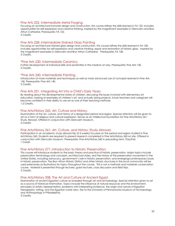#### Fine Arts 222. Intermediate Metal Forging.

Focusing on architectural ironwork design and construction, this course refines the skills learned in FA 122. Includes opportunities for self-expression and creative thinking. Inspired by the magnificent examples in Glencairn and Bryn Athyn Cathedral. Prerequisite: FA 122.

3 Credits.

#### Fine Arts 228: Intermediate Stained Glass Painting

Focusing on architectural stained glass design and construction, this course refines the skills learned in FA 128. Includes opportunities for self-expression and creative thinking, repair and restoration of historic glass. Inspired by the magnificent examples in Glencairn and Bryn Athyn Cathedral. Prerequisite: FA 128. 3 Credits.

#### \*Fine Arts 230. Intermediate Ceramics.

Further development of individual skills and sensitivities in the medium of clay. Prerequisite: Fine Arts 130. 3 Credits.

#### \*Fine Arts 240. Intermediate Painting.

Introduction of more materials and techniques as well as more advanced use of concepts learned in Fine Arts 140. Prerequisite: Fine Arts 140.

3 Credits.

#### Fine Arts 251. Integrating Art into a Child's Early Years.

By reading about the developmental states of children, discussing the issues involved with elementary art education, looking at examples of children's art, and actually doing projects, future teachers and caregivers will become confident in their ability to use art as one of their teaching methods. 1.5 Credits.

#### Fine Arts/History 260. Art, Culture and History.

Examination of the art, culture, and history of a designated period and region. Special attention will be given to art as a form of religious and cultural expression. Serves as an intellectual foundation for Fine Arts/History 261: Study Abroad. Offered in conjunction with Glencairn Museum. 3 Credits.

#### Fine Arts/History 261: Art, Culture, and History: Study Abroad.

Participation in an academic study abroad trip (2-3 weeks) focused on the period and region studied in Fine Art/History 260. Students are required to present research completed in Fine Arts/History 260 on site. Offered in conjunction with Glencairn Museum. Prerequisite: Fine Arts/History 260 in preceding term. Pass/Fail. 1 Credit.

#### Fine Arts/History 271: Introduction to Historic Preservation.

This course will introduce students to the basic theory and practice of historic preservation. Major topics include preservation terminology and concepts, architectural styles, and the history of the preservation movement in the United States, including advocacy, government's role in historic preservation, and emerging/contemporary issues in historic preservation. The Bryn Athyn Historic District and other historic structures in the local community will be used extensively as illustrations for topics throughout the course. This is not a methods and materials conservation course. Material is presented through lectures, guest lectures, class discussion and field trips. 3 Credits.

#### Fine Arts/History 308. The Art and Culture of Ancient Egypt.

Examination of ancient Egyptian culture as revealed through art and archaeology. Special attention given to art as a source of historical information. Topics include the influence of natural resources and the environment, principles of artistic representation, problems with interpreting evidence, the origin and nature of Egyptian hieroglyphic writing, and the Egyptian world view. Trip to the University of Pennsylvania Museum of Archaeology and Anthropology in Philadelphia.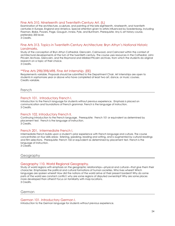#### Fine Arts 310. Nineteenth and Twentieth-Century Art. (IL)

Examination of the architecture, sculpture, and painting of the late eighteenth, nineteenth, and twentieth centuries in Europe, England and America. Special attention given to artists influenced by Swedenborg, including Flaxman, Blake, Powers, Page, Gauguin, Inness, Pyle, and Burnham. Prerequisite: Any IL art history course, preferably 200 level.

3 Credits.

#### Fine Arts 313. Topics in Twentieth-Century Architecture: Bryn Athyn's National Historic Landmarks.

Study of the conception of Bryn Athyn Cathedral, Glencairn, Cairnwood, and Cairncrest within the context of architectural developments at the turn of the twentieth century. The course uses resources in the Cathedral, John Pitcairn Archives, Glencairn, and the Raymond and Mildred Pitcairn archives, from which the students do original research on a topic of their choice.

3 Credits.

#### \*\*Fine Arts 298/398/498. Fine Art Internship. (EE)

Requirements variable. Proposals should be submitted to the Department Chair. Art internships are open to students in sophomore year or above who have completed at least two art, dance, or music courses. Credits variable.

<span id="page-23-0"></span>French

#### French 101. Introductory French I.

Introduction to the French language for students without previous experience. Emphasis is placed on communication and foundations of French grammar. French is the language of instruction. 3 Credits.

#### French 102. Introductory French II.

Continuing introduction to the French language. Prerequisite: French 101 or equivalent as determined by placement test. French is the language of instruction. 3 Credits.

#### French 201. Intermediate French I.

Intermediate French builds upon a student's prior experience with French language and culture. The course concentrates on four skills areas: listening, speaking, reading and writing, and is augmented by cultural readings and film selections. Prerequisite: French 102 or equivalent as determined by placement test. French is the language of instruction.

3 Credits.

#### <span id="page-23-1"></span>Geography

#### Geography 110. World Regional Geography.

Study of world regions with emphasis on the geographic relationships—physical and cultural—that give them their character. Emphasizes the political and cultural formations of human societies. Who lives where? Which languages are spoken where? How did the nations of the world arrive at their present borders? Why do some parts of the world see constant conflict; why are some regions of disputed ownership? Why are some places more developed than others? Focus on familiarity with map locations. 3 Credits.

<span id="page-23-2"></span>German

#### German 101. Introductory German I.

Introduction to the German language for students without previous experience.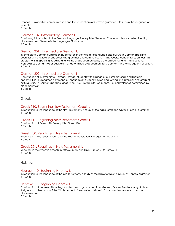Emphasis is placed on communication and the foundations of German grammar. German is the language of instruction.

3 Credits.

#### German 102. Introductory German II.

Continuing introduction to the German language. Prerequisite: German 101 or equivalent as determined by placement test. German is the language of instruction. 3 Credits.

#### German 201. Intermediate German I.

Intermediate German builds upon students' prior knowledge of language and culture in German-speaking countries while reviewing and solidifying grammar and communication skills. Course concentrates on four skills areas: listening, speaking, reading and writing and is augmented by cultural readings and film selections. Prerequisite: German 102 or equivalent as determined by placement test. German is the language of instruction. 3 Credits.

#### German 202. Intermediate German II.

Continuation of intermediate German. Provides students with a range of cultural materials and linguistic opportunities to strengthen command of language skills (speaking, reading, writing and listening) and grasp of cultural issues in German-speaking lands since 1945. Prerequisite: German 201 or equivalent as determined by placement test.

3 Credits.

<span id="page-24-0"></span>Greek

#### Greek 110. Beginning New Testament Greek I.

Introduction to the language of the New Testament. A study of the basic forms and syntax of Greek grammar. 3 Credits.

#### Greek 111. Beginning New Testament Greek II.

Continuation of Greek 110. Prerequisite: Greek 110. 3 Credits.

#### Greek 250. Readings in New Testament I.

Readings in the Gospel of John and the Book of Revelation. Prerequisite: Greek 111. 3 Credits.

#### Greek 251. Readings in New Testament II.

Readings in the synoptic gospels (Matthew, Mark and Luke). Prerequisite: Greek 111. 3 Credits.

#### <span id="page-24-1"></span>**Hebrew**

#### Hebrew 110. Beginning Hebrew I.

Introduction to the language of the Old Testament. A study of the basic forms and syntax of Hebrew grammar. 3 Credits.

#### Hebrew 111. Beginning Hebrew II.

Continuation of Hebrew 110, with graduated readings adapted from Genesis, Exodus, Deuteronomy, Joshua, Judges, and other books of the Old Testament. Prerequisite: Hebrew110 or equivalent as determined by placement test.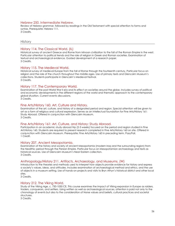#### Hebrew 250. Intermediate Hebrew.

Review of Hebrew grammar, followed by readings in the Old Testament with special attention to forms and syntax. Prerequisite: Hebrew 111. 3 Credits.

#### <span id="page-25-0"></span>**History**

#### History 114. The Classical World. (IL)

Historical survey of ancient Greece and Rome from Minoan civilization to the fall of the Roman Empire in the west. Particular attention to political trends and the role of religion in Greek and Roman societies. Examination of textual and archaeological evidence. Guided development of a research paper. 3 Credits.

#### History 115. The Medieval World.

Historical survey of medieval Europe from the fall of Rome through the fourteenth century. Particular focus on religion and the role of the church throughout the middle ages. Use of primary texts and Glencairn Museum's collections. Students participate in Glencairn's Medieval Festival. 3 Credits.

#### History 117. The Contemporary World.

Examination of the post-World War II era and its effect on societies around the globe. Includes survey of political and economic developments in the different regions of the world and thematic approach to the contemporary global situation. Current events discussions. 3 Credits.

#### Fine Arts/History 160. Art, Culture and History.

Examination of the art, culture, and history of a designated period and region. Special attention will be given to art as a form of religious and cultural expression. Serves as an intellectual foundation for Fine Arts/History 161: Study Abroad. Offered in conjunction with Glencairn Museum. 3 Credits.

#### Fine Arts/History 161: Art, Culture, and History: Study Abroad.

Participation in an academic study abroad trip (2-3 weeks) focused on the period and region studied in Fine Art/History 160. Students are required to present research completed in Fine Arts/History 160 on site. Offered in conjunction with Glencairn Museum. Prerequisite: Fine Arts/History 160 in preceding term. Pass/Fail. 1 Credit.

#### History 207. Ancient Mesopotamia.

Examination of the history and society of ancient Mesopotamia (modern Iraq and the surrounding region) from the Neolithic period through the Persian Empire. Particular focus on Mesopotamian archaeology and texts as historical sources. Use of Glencairn Museum's Near Eastern collection. 3 Credits.

#### Anthropology/History 211. Artifacts, Archaeology, and Museums. (W)

Introduction to the theories and methods used to interpret how objects provide evidence for history and express a society's values, ideas, and attitudes. Includes examination of archaeological method and ethics, and the use of objects in a museum setting. Use of hands-on projects and visits to Bryn Athyn's historical district and other local sites.

3 Credits.

#### History 212. The Viking World.

Study of the Viking Age, c. 750-1050 CE. This course examines the impact of Viking expansion in Europe as raiders, traders, conquerors, and settlers. Using written as well as archaeological sources, attention is paid not only to the chronology of events but also to the consideration of Norse values and beliefs, cultural practices and societal structures.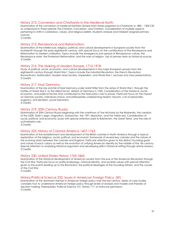#### History 213. Conversion and Christianity in the Medieval North.

Examination of the conversion of medieval Northern Europe from Norse paganism to Christianity (c. 800 – 1300 CE) as understood in three periods: Pre-Christian, Conversion, and Christian. Consideration of multiple aspects pertaining to shifts in worldviews, values, and religious beliefs. Students analyze and interpret assigned primary sources.

3 Credits,

#### History 215. Renaissance and Reformation.

Examination of the intellectual, religious, political, and cultural developments in European society from the fourteenth through the early eighteenth century, with special focus on the contributions of the Renaissance and Reformation to western civilization. Topics include the emergence and spread of Renaissance culture, the Renaissance state, the Protestant Reformation, and the wars of religion. Use of primary texts as historical sources. 3 Credits.

#### History 216. The Making of Modern Europe, 1715-1918.

Study of political, social, economic, and cultural developments in the major European powers from the eighteenth century through World War I. Topics include the Industrial Revolution, the French Revolution, Romanticism, Nationalism, Modern Mass Society, Imperialism, and World War I. Lectures and class presentations. 3 Credits.

#### History 217. Nazi Germany.

Examination of the rise and fall of Nazi Germany under Adolf Hitler from the ashes of World War I, through the battles of World War II, to the Allied forces' defeat of Germany in 1945. Consideration of the historical, social, economic, and political factors that contributed to the Nazi party's rise to power. Particular focus on the impact on German society, individual choice, and philosophies underpinning Nazism: fascism, cult of personality, eugenics, anti-Semitism, social Darwinism.

3 Credits.

#### History 219. 20th Century Russia.

Examination of 20th Century Russia beginning with the overthrow of Tsar Nicholas by the Bolsheviks, the creation of the USSR, Stalin's reign, stagnation, Gorbachev, the 1991 dissolution, and the Yeltsin era. Consideration of social, political, and economic issues with special attention paid to Bolshevism, the Great Terror, and the role of authoritarian rule.

3 Credits.

#### History 225. History of Colonial America 1607-1763.

Examination of the establishment and development of the British colonies in North America through a topical exploration of the religious, social, political, and economic framework of several key colonies and the nature of the evolving strain between the colonies and England. Particular attention given to the distinct founding goals and values of each colony as well as the evolution of unifying American identity by the middle of the 18th century. Special attention to analyzing historical argument and developing skills in historical writing through article reviews. 3 Credits.

#### History 230. United States History 1763-1865.

Examination of the historical development of American society from the eve of the American Revolution through the Civil War. Particular focus on political ideology, national identity, and societal values with special attention given to the events leading up to the Revolution, the political ideologies of the founding fathers, and the causes of the Civil War.

3 Credits.

#### History/Political Science 232. Issues in American Foreign Policy. (W)

Examination of the dominant themes in American foreign policy over the last century. Series of case studies considers how to understand American foreign policy through levels of analysis and models and theories of decision making. Prerequisites: Political Science 101, History 117, or instructor permission. 3 Credits.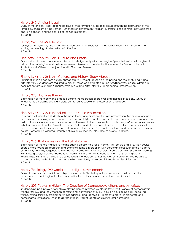#### History 240. Ancient Israel.

Study of the ancient Israelites from the time of their formation as a social group through the destruction of the temple in Jerusalem by the Romans. Emphasis on government, religion, intercultural relationships between Israel and its neighbors, and the context of the Old Testament. 3 Credits.

#### History 245. The Middle East.

Surveys political, social, and cultural developments in the societies of the greater Middle East. Focus on the waxing and waning of selected Islamic Empires. 3 Credits.

#### Fine Arts/History 260. Art, Culture and History.

Examination of the art, culture, and history of a designated period and region. Special attention will be given to art as a form of religious and cultural expression. Serves as an intellectual foundation for Fine Arts/History 261: Study Abroad. Offered in conjunction with Glencairn Museum. 3 Credits.

#### Fine Arts/History 261. Art, Culture, and History: Study Abroad.

Participation in an academic study abroad trip (2-3 weeks) focused on the period and region studied in Fine Art/History 260. Students are required to present research completed in Fine Arts/History 260 on site. Offered in conjunction with Glencairn Museum. Prerequisite: Fine Arts/History 260 in preceding term. Pass/Fail. 1 Credit.

#### History 270. Archives Theory.

Examination of the theory and practice behind the operation of archives and their role in society. Survey of fundamentals including archival history, controlled vocabularies, preservation, and access. 3 Credits.

#### Fine Arts/History 271: Introduction to Historic Preservation.

This course will introduce students to the basic theory and practice of historic preservation. Major topics include preservation terminology and concepts, architectural styles, and the history of the preservation movement in the United States, including advocacy, government's role in historic preservation, and emerging/contemporary issues in historic preservation. The Bryn Athyn Historic District and other historic structures in the local community will be used extensively as illustrations for topics throughout the course. This is not a methods and materials conservation course. Material is presented through lectures, guest lectures, class discussion and field trips. 3 Credits.

#### History 276. Barbarians and the Fall of Rome.

Examination of the era that led to the misleading phrase: "the fall of Rome." This lecture and discussion course offers a more nuanced approach and examines Rome's interaction with barbarian tribes such as the Visigoths, Ostrogoths, Vandals, Burgundians, Langobards, Franks, and Huns. It explores Rome's evolving strategy in dealing with these groups, so-called "barbarians," from its initial attempts to conquer them to its forming client relationships with them. The course also considers the replacement of the western Roman empire by various successor states, the barbarian kingdoms, which eventually coalesced into early medieval Europe. 3 Credits.

#### History/Sociology 290. Social and Religious Movements.

Exploration of selected social and religious movements. The history of these movements will be used to understand the sociological factors that contributed to their development, form, and impact. 3 Credits.

#### History 305. Topics in History. The Creation of Democracy: Athens and America.

Students take part in two historical role-playing games informed by classic texts: the threshold of democracy in Athens, 403 B.C. and the American constitutional convention of 1787. Focus on developing skills—speaking, writing, critical thinking, problem solving, leadership, and teamwork—in order to prevail in elaborate and complicated simulations. Open to all students; first-year students require instructor permission. 3 Credits.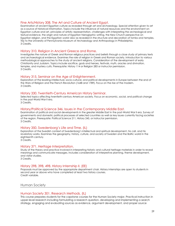#### Fine Arts/History 308. The Art and Culture of Ancient Egypt.

Examination of ancient Egyptian culture as revealed through art and archaeology. Special attention given to art as a source of historical information. Topics include the influence of natural resources and the environment on Egyptian culture and art, principles of artistic representation, challenges with interpreting the archeological and textual evidence, the origin and nature of Egyptian hieroglyphic writing, the New Church perspective on Egyptian religion, and the Egyptian world view as revealed in the structure and decoration of tombs and temples. Trip to the University of Pennsylvania Museum of Archaeology and Anthropology in Philadelphia. 3 Credits.

#### History 310. Religion in Ancient Greece and Rome.

Investigates the nature of Greek and Roman religious practices and beliefs through a close study of primary texts and archaeological evidence. Examines the role of religion in Greek and Roman society. Introduction to various methodological approaches to the study of ancient religions. Consideration of the development of early Christianity and Judaism. Topics include sacrifice, gods and heroes, festivals, myth, oracles and divination, temples, and mystery cults. Prerequisite: History 114 or Religion 283 or instructor permission. 3 Credits.

#### History 315. Seminar on the Age of Enlightenment.

Exploration of the leading intellectual, socio-cultural, and political developments in Europe between the end of the Wars of Religion and the French Revolution (1648 and 1789). Focus on the rise of the modern. 3 Credits.

#### History 330. Twentieth-Century American History Seminar.

Selected topics affecting twentieth-century American society. Focus on economic, social, and political change in the post-World War II era.

3 Credits.

#### History/Political Science 346. Issues in the Contemporary Middle East.

Examination of political and social developments in the greater Middle East in the post-World War II era. Survey of governments and domestic political processes of selected countries as well as key issues currently facing societies of the region. Prerequisite: Political Science 211, History 245, or instructor permission. 3 Credits.

#### History 350. Swedenborg's Life and Time. (IL)

Exploration of the Swedish context of Swedenborg's intellectual and spiritual development, his call, and his revelatory works. Examines the geography, history, culture, and society of Sweden and the Baltic world in the eighteenth century.

3 Credits.

#### History 371. Heritage Interpretation.

Study of the theory and practice involved in interpreting historic and cultural heritage materials in order to reveal meanings and communicate messages. Includes consideration of interpretive planning, theme development, and visitor studies. 3 Credits.

# History 298, 398, 498. History Internship II. (EE)

Proposals must be approved by the appropriate department chair. History internships are open to students in second year or above who have completed at least two history courses. Credit variable.

#### Human Society

#### Human Society 301. Research Methods. (IL)

This course prepares students for the capstone courses for the Human Society major. Practical instruction in upper-level research including formulating a research question, developing and implementing a search strategy, engaging and evaluating sources as evidence, argument development, and proper source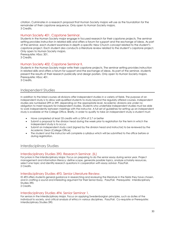citation. Culminates in a research proposal that Human Society majors will use as the foundation for the remainder of their capstone sequence. Only open to Human Society majors. 3 Credits.

#### Human Society 401. Capstone Seminar.

Students in the Human Society major engage in focused research for their capstone projects. The seminar setting provides instruction in related skills and offers a forum for support and the exchange of ideas. As part of the seminar, each student examines in depth a specific New Church concept related to the student's capstone project. Each student also conducts a literature review related to the student's capstone project. Only open to Human Society majors. Prerequisite: HSoc 301.

3 Credits.

#### Human Society 402. Capstone Seminar II.

Students in the Human Society major write their capstone projects. The seminar setting provides instruction in related skills and offers a forum for support and the exchange of ideas. As part of the seminar, students present the results of their research publically and design posters. Only open to Human Society majors. Prerequisite: HSoc 401. 3 Credits.

#### <span id="page-29-0"></span>Independent Studies

In addition to the listed courses all divisions offer independent studies in a variety of fields. The purpose of an independent study is to allow well-qualified students to study beyond the regularly offered courses. Independent studies are numbered 299 or 399, depending on the appropriate level. Academic divisions are under no obligation to meet requests for independent studies. Students who undertake independent studies must be able to work independently between meetings with the instructor. A full set of guidelines for setting up an independent study is available at the College Office. Briefly, in order to qualify to take an independent study a student must:

- Have completed at least 33 credits with a GPA of 2.7 or better
- Submit a proposal to the division head during the week prior to registration for the term in which the independent study is to occur.
- Submit an independent study card (signed by the division head and instructor) to be reviewed by the Academic Dean (College Office).
- The student and the instructor will complete a syllabus which will be submitted to the office before or during registration.

#### <span id="page-29-1"></span>Interdisciplinary Studies

#### Interdisciplinary Studies 390. Research Seminar. (IL)

For juniors in the Interdisciplinary Major. Focus on preparing to do the senior essay during senior year. Project management and information literacy: define scope, generate possible topics, analyze scholarly resources, select one topic and identify research questions in cooperation with essay advisor. Pass/Fail. 2 Credits.

#### Interdisciplinary Studies 493. Senior Literature Review.

ID 493 offers students general guidance in researching and reviewing the literature in the fields they have chosen, and in crafting a sound and interesting argument for their Senior Essay. Pass/Fail. Prerequisite: Interdisciplinary Studies 390.

2 Credits.

#### Interdisciplinary Studies 494. Senior Seminar 1.

For seniors in the Interdisciplinary Major. Focus on applying Swedenborgian principles, such as duties of the individual to society, and critical analysis of ethics in various disciplines. Pass/Fail. Co-requisite or Prerequisite: Interdisciplinary Studies 390.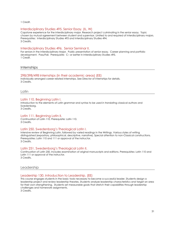1 Credit.

#### Interdisciplinary Studies 495. Senior Essay. (IL, W)

Capstone experience for the interdisciplinary major. Research project culminating in the senior essay. Topic chosen by mutual agreement between student and supervisor. Limited to and required of interdisciplinary majors. Prerequisites: Interdisciplinary Studies 493 and Interdisciplinary Studies 494. 3 Credits.

#### Interdisciplinary Studies 496. Senior Seminar II.

For seniors in the Interdisciplinary Major. Public presentation of senior essay. Career planning and portfolio development. Pass/Fail. Prerequisite: C– or better in Interdisciplinary Studies 495. 1 Credit.

**Internships** 

#### 298/398/498 Internships (in their academic areas) (EE)

Individually arranged career related internships. See Director of Internships for details. 3 Credits.

<span id="page-30-0"></span>Latin

#### Latin 110. Beginning Latin I.

Introduction to the elements of Latin grammar and syntax to be used in translating classical authors and Swedenborg.

3 Credits.

### Latin 111. Beginning Latin II.

Continuation of Latin 110. Prerequisite: Latin 110. 3 Credits.

#### Latin 250. Swedenborg's Theological Latin I.

Intensive review of Beginning Latin, followed by varied readings in the Writings. Various styles of writing distinguished (expository, philosophical, descriptive, narrative). Special attention to non-Classical constructions. Prerequisites: Latin 110 and 111 or approval of the instructor. 3 Credits.

#### Latin 251. Swedenborg's Theological Latin II.

Continuation of Latin 250. Includes examination of original manuscripts and editions. Prerequisites: Latin 110 and Latin 111 or approval of the instructor.

3 Credits.

#### <span id="page-30-1"></span>Leadership

#### Leadership 130. Introduction to Leadership. (EE)

This course engages students in the basic tools necessary to become a successful leader. Students design a leadership project and review leadership theories. Students analyze leadership characteristics and target an area for their own strengthening. Students set measurable goals that stretch their capabilities through leadership challenges and homework assignments.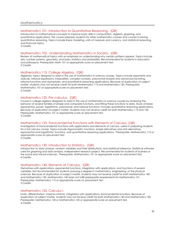#### <span id="page-31-0"></span>Mathematics 101. Introduction to Quantitative Reasoning. (QR)

Introduction to mathematical concepts to improve basic skills in computation, algebra, graphing, and quantitative applications. This course prepares students for other mathematics courses and courses involving quantitative reasoning. Topics include linear modeling, units of measure and currency, and statistical reasoning, and financial topics. 3 Credits.

#### Mathematics 102. Understanding Mathematics in Society. (QR)

Review of mathematical topics with an emphasis on understanding why certain patterns appear. Topics include sets, number systems, geometry, and basic statistics and probability. Recommended for students in education and philosophy. Prerequisite: Math 101 or appropriate score on placement test. 3 Credits.

#### Mathematics 115. College Algebra. (QR)

Algebraic topics designed to assist in the use of mathematics in science courses. Topics include exponents and radicals, rational expressions, inequalities, complex numbers, polynomial analysis and advanced factoring, rational functions and asymptotes, and quantitative reasoning applications. Because of duplication of subject matter, students may not receive credit for both Mathematics 115 and Mathematics 120. Prerequisite: Mathematics 101 or appropriate score on placement test. 3 Credits.

#### Mathematics 120. Pre-calculus. (QR)

Course in college algebra designed to assist in the use of mathematics in science courses by reviewing the behavior of several families of simple and composite functions, and fitting these functions to data. Study of linear, exponential, power, logarithmic, polynomial, and rational functions. Includes quantitative reasoning applications. Because of duplication of subject matter, students may not receive credit for both Mathematics 115 and 120. Prerequisite: Mathematics 101 or appropriate score on placement test. 3 Credits.

#### Mathematics 125. Transcendental Functions with Elements of Calculus. (QR)

Investigation of transcendental functions with applications and elements of calculus, useful in preparing students for a full calculus course. Topics include trigonometric functions, simple derivatives and anti-derivatives, exponential and logarithmic functions, and quantitative reasoning applications. Prerequisite: Mathematics 115 or appropriate score on placement test. 3 Credits.

#### Mathematics 130. Introduction to Statistics. (QR)

Introduction to data analysis, random variables and their distributions, and statistical inference. Statistical software used for graphing and data analysis. Independent research project. Recommended for students of business or the social and natural sciences. Prerequisite: Mathematics 101 or appropriate score on placement test. 4 Credits.

#### Mathematics 140. Elements of Calculus. (QR)

Derivatives with applications, exponential functions, integration with applications, and functions of several variables. Not recommended for students pursuing a degree in mathematics, engineering, or the physical sciences. Because of duplication of subject matter, students may not receive credit for both Mathematics 140 and Mathematics 150. Mathematics 140 does not fulfill prerequisite requirements for Mathematics 151. Prerequisite: Mathematics 115 or appropriate score on placement test. 3 Credits.

#### Mathematics 150. Calculus I.

Limits, differentiation, maxima-minima, integration with applications, transcendental functions. Because of duplication of subject matter, students may not receive credit for both Mathematics 140 and Mathematics 150. Prerequisite: Mathematics 120 or Mathematics 125 or appropriate score on placement test. 4 Credits.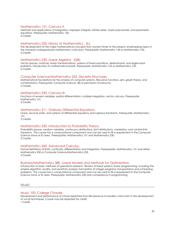#### Mathematics 151. Calculus II.

Methods and applications of integration, improper integrals, infinite series, Taylor polynomials, and parametric equations. Prerequisite: Mathematics 150. 4 Credits.

#### Mathematics 205. History of Mathematics. (IL)

The development of the major mathematical concepts from ancient times to the present, emphasizing topics in the standard undergraduate mathematics curriculum. Prerequisite: Mathematics 140 or Mathematics 150. 3 Credits.

#### Mathematics 230. Linear Algebra. (QR)

Vector spaces, matrices, linear transformations, systems of linear equations, determinants, and eigenvalue problems. Introduction to mathematical proofs. Prerequisite: Mathematics 125 or Mathematics 150. 3 Credits.

#### Computer Science/Mathematics 235. Discrete Structures.

Mathematical foundations for the analysis of computer systems. Recursive functions, sets, graph theory, and combinatorics. Prerequisite: Computer Science 180 or permission of instructor. 3 Credits.

#### Mathematics 250. Calculus III.

Functions of several variables, partial differentiation, multiple integration, vector calculus. Prerequisite: Mathematics 151. 4 Credits.

#### Mathematics 311. Ordinary Differential Equations.

Linear, second-order, and systems of differential equations and Laplace transforms. Prerequisite: Mathematics 151.

3 Credits.

#### Mathematics 330. Introduction to Probability Theory.

Probability spaces, random variables, continuous distributions, joint distributions, correlation, and central limit theorems. This course has a computational component and can be used to fill a requirement in the Computer Science minor or ID area. Prerequisites: Mathematics 151 and Mathematics 230. 3 Credits.

#### Mathematics 360. Advanced Calculus.

Formal definitions of limits, continuity, differentiation and integration. Prerequisites: Mathematics 151 and either Mathematics 230 or Computer Science/Mathematics 235. 3 Credits.

#### Business/Mathematics 380. Linear Models and Methods for Optimization.

Introduction to basic methods of operations research. Review of linear systems; linear programming, including the simplex algorithm, duality, and sensitivity analysis; formulation of integer programs; transportation and scheduling problems. This course has a computational component and can be used to fill a requirement in the Computer Science minor or ID area. Prerequisite: Mathematics 230 and competence in programming.

<span id="page-32-0"></span>Music

#### Music 100. College Chorale.

Development and performance of choral repertoire from Renaissance to Modern. Instruction in the development of vocal techniques. Course may be repeated for credit. 1 Credit.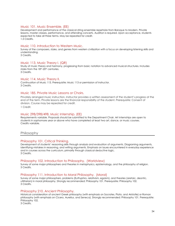#### Music 101. Music Ensemble. (EE)

Development and performance of the classical string ensemble repertoire from Baroque to Modern. Private lessons, master classes, performance, and attending concerts. Audition is required. Upon acceptance, students expected to take all three terms. May be repeated for credit. 1.5 Credits.

#### Music 110. Introduction to Western Music.

Survey of the composers, styles, and genres from western civilization with a focus on developing listening skills and understanding.

3 Credits.

#### Music 113. Music Theory I. (QR)

Study of music theory and harmony, progressing from basic notation to advanced musical structures. Includes styles from the 18th-20th centuries. 3 Credits.

#### Music 114. Music Theory II.

Continuation of Music 113. Prerequisite: Music 113 or permission of instructor. 3 Credits.

#### Music 185. Private Music Lessons or Choirs.

Privately arranged music instruction. Instructor provides a written assessment of the student's progress at the end of the term. Private lessons are the financial responsibility of the student. Prerequisite: Consent of division. Course may be repeated for credit.

1 Credit.

#### Music 298/398/498. Music Internship. (EE)

Requirements variable. Proposals should be submitted to the Department Chair. Art internships are open to students in sophomore year or above who have completed at least two art, dance, or music courses. Credits variable.

#### <span id="page-33-0"></span>Philosophy

#### Philosophy 101. Critical Thinking.

Development of students' reasoning skills through analysis and evaluation of arguments. Diagraming arguments, identifying mistakes in reasoning, and writing arguments. Emphasis on issues encountered in everyday experience and in courses across the curriculum, primarily through classical deductive logic. 3 Credits.

#### Philosophy 102. Introduction to Philosophy. (Worldview)

Survey of some major philosophers and theories in metaphysics, epistemology, and the philosophy of religion. 3 Credits.

#### Philosophy 111. Introduction to Moral Philosophy. (Moral)

Survey of some major philosophers, problems (Euthyphro, relativism, egoism), and theories (aretaic, deontic, utilitarian) in moral philosophy. Strongly recommended: Philosophy 101. Prerequisite: Philosophy 102. 3 Credits.

#### Philosophy 210. Ancient Philosophy.

Historical consideration of ancient Greek philosophy (with emphasis on Socrates, Plato, and Aristotle) or Roman philosophy (with emphasis on Cicero, Aurelius, and Seneca). Strongly recommended: Philosophy 101. Prerequisite: Philosophy 102.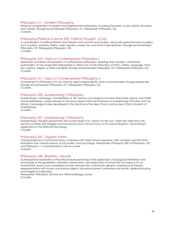#### Philosophy 211. Modern Philosophy.

Historical consideration of modern and Enlightenment philosophy, including Descartes, Locke, Leibniz, Rousseau, and Voltaire. Strongly recommended: Philosophy 101. Prerequisite: Philosophy 102. 3 Credits.

#### Philosophy/Political Science 220. Political Thought. (Civil)

A consideration of political thinkers and theories, both ancient and modern, along with perennial issues in politics, such as justice, authority, liberty, order, equality, power, law, and forms of government. Strongly recommended: Philosophy 101. Prerequisite: Philosophy 102. 3 Credits.

#### Philosophy 310. Topics in Contemporary Philosophy I.

Exploration of themes and problems in contemporary philosophy. Readings from analytic, continental, postmodern, or neo-pragmatist philosophers in areas such as the philosophy of ethics, politics, language, mind, law, science, religion, or other sub-fields. Strongly recommended: Philosophy 101. Prerequisite: Philosophy 102. 3 Credits.

#### Philosophy 311. Topics in Contemporary Philosophy II.

Complement to Philosophy 310, but may be taken independently. Topics and emphases change periodically. Strongly recommended: Philosophy 101. Prerequisite: Philosophy 102. 3 Credits.

#### Philosophy 320. Swedenborg's Philosophy.

Swedenborg's cosmology. Consideration of 18th-century cosmological concepts (Descartes, Leibniz, and Wolff) and Swedenborg's unique answers to the issues raised. Particular emphasis on Swedenborg's Principia and the Infinite. Cosmological views developed in the Doctrines of the New Church and by New Church students of Swedenborg.

3 Credits.

#### Philosophy 321. Swedenborg's Philosophy.

Swedenborg's thought upward from the human body in his "search for the soul." Main text taken from the sections on Series and Degrees and The Human Soul in *The Economy of the Animal Kingdom*, terminating in applications in *The Rational Psychology*. 3 Credits.

#### Philosophy 331. Organic Forms.

Correspondences of the human body compared with other human organisms: cells, societies, and the mind. Illustrations from natural science, social studies, and psychology. Prerequisite: Philosophy 330, or Philosophy 102 and Philosophy 111 and laboratory science course. 3 Credits.

#### Philosophy 340. Bioethics. (Moral)

A philosophical exploration of the ethical issues pertaining to the application of biological information and technology to the generation, alteration, preservation, and destruction of human life and aspects of our environment. Issues to be considered include: reproduction, euthanasia, genetic screening and therapy, experimentation with human and animal subjects, bio enhancement, ownership and nature, distributive justice, and integrity in publication.

Prerequisite: Philosophy 102 and any 100-level Biology course. 3 Credits.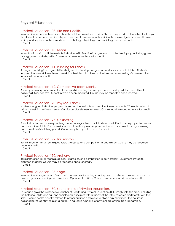#### <span id="page-35-0"></span>Physical Education 103. Life and Health.

Introduction to personal and social health problems we all face today. This course provides information that helps the student understand and investigate these health problems further. Scientific knowledge is presented from a variety of disciplines, such as, medicine, psychology, physiology, and sociology. Non repeatable. 1 Credit.

#### Physical Education 110. Tennis.

Instruction in basic and intermediate individual skills. Practice in singles and doubles tennis play, including game strategy, rules, and etiquette. Course may be repeated once for credit. 1 Credit.

#### Physical Education 111. Running for Fitness.

A range of walking/running activities designed to develop strength and endurance, for all abilities. Students required to run/walk three times a week in scheduled class time and to keep an exercise log. Course may be repeated once for credit. 1 Credit.

#### Physical Education 112. Competitive Team Sports.

A survey of a range of competitive team sports including for example, soccer, volleyball, lacrosse, ultimate, basketball, floor hockey. Student interest accommodated. Course may be repeated once for credit. 1 Credit.

#### Physical Education 120. Physical Fitness.

Student-designed individual program based on theoretical and practical fitness concepts. Workouts during class twice a week in the fitness center. Cardiovascular element required. Course may be repeated once for credit. 1 Credit.

#### Physical Education 127. Kickboxing.

Basic instruction in a power-punching, non-choreographed martial arts workout. Emphasis on proper technique and execution of skills. Each class includes a total-body warm-up, a cardiovascular workout, strength training, and cool-down/stretching period. Course may be repeated once for credit. 1 Credit.

#### Physical Education 129. Badminton.

Basic instruction in skill techniques, rules, strategies, and competition in badminton. Course may be repeated once for credit.

1 Credit.

#### Physical Education 130. Archery.

Basic instruction in skill techniques, rules, strategies, and competition in bow archery. Enrollment limited to eighteen students. Course may be repeated once for credit. 1 Credit.

#### Physical Education 133. Yoga.

Introduction to yoga course. Variety of yoga (poses) including standing poses, twists and forward bends, armbalancing, back bending and inversions. Open to all abilities. Course may be repeated once for credit. 1 Credit.

#### Physical Education 180. Foundations of Physical Education.

This course gives the prospective teacher of Health and Physical Education (HPE) insight into this area, including the historical, philosophical, and sociological principles with a survey of the latest research and literature in the field. Lifetime health benefits related to proper nutrition and exercise physiology examined. The course in designed for students who plan a career in education, health, or physical education. Non repeatable. 1 Credit.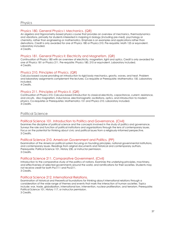#### <span id="page-36-0"></span>Physics 180. General Physics I: Mechanics. (QR)

An algebra and trigonometry-based physics course that provides an overview of mechanics, thermodynamics and vibrations, primarily for students interested in majoring in biology (including pre-med), psychology or chemistry, rather than engineering or mathematics. Emphasis is on examples and applications rather than derivations. Credit is only awarded for one of Physics 180 or Physics 210. Pre-requisite: Math 125 or equivalent. Laboratory included.

4 Credits.

#### Physics 181. General Physics II: Electricity and Magnetism. (QR)

Continuation of Physics 180 with an overview of electricity, magnetism, light and optics. Credit is only awarded for one of Physics 181 or Physics 211. Pre-requisite: Physics 180, 210 or equivalent. Laboratory included. 4 Credits.

#### Physics 210. Principles of Physics. (QR)

Calculus-based course providing an introduction to rigid body mechanics, gravity, waves, and heat. Problem and laboratory assignments complement the lectures. Co-requisite or Prerequisite: Mathematics 150. Laboratory included.

4 Credits.

#### Physics 211. Principles of Physics II. (QR)

Continuation of Physics 210. Calculus-based introduction to classical electricity, capacitance, current, resistance, and circuits. Also magnetism, inductance, electromagnetic oscillations, optics, and introduction to modern physics. Co-requisites or Prerequisites: Mathematics 151 and Physics 210. Laboratory included. 4 Credits.

#### <span id="page-36-1"></span>Political Science

#### Political Science 101. Introduction to Politics and Governance. (Civil)

Examines the discipline of political science and the concepts involved in the study of politics and governance. Surveys the role and function of political institutions and organizations through the lens of contemporary issues. Focus on the potential for thinking about civic and political issues from a religiously-informed perspective. 3 Credits.

#### Political Science 210. American Government and Politics. (PP)

Examination of the American political system focusing on founding principles, national governmental institutions, and contemporary issues. Readings from original documents and historical and contemporary authors. Prerequisite: Political Science 101, History 230, or instructor permission. 3 Credits.

#### Political Science 211. Comparative Government. (Civil)

Introduction to the comparative study of the politics of nations. Examines the underlying principles, machinery, and effectiveness of selected governments around the world, and ramifications for their societies. Students may not receive credit for both Psci111 and Psci211. 3 Credits.

#### Political Science 212. International Relations.

Examination of historical and theoretical foundations for thinking about international relations through a consideration of the wide range of themes and events that mark the interaction of human societies. Topics include: war, trade, globalization, international law, intervention, nuclear proliferation, and terrorism. Prerequisite: Political Science 101, History 117, or instructor permission. 3 Credits.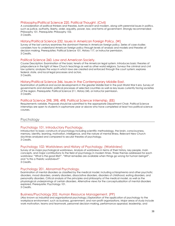#### Philosophy/Political Science 220. Political Thought. (Civil)

A consideration of political thinkers and theories, both ancient and modern, along with perennial issues in politics, such as justice, authority, liberty, order, equality, power, law, and forms of government. Strongly recommended: Philosophy 101. Prerequisite: Philosophy 102. 3 Credits.

#### History/Political Science 232. Issues in American Foreign Policy. (W)

Survey of the last century examines the dominant themes in American foreign policy. Series of case studies considers how to understand American foreign policy through levels of analysis and models and theories of decision making. Prerequisites: Political Science 101, History 117, or instructor permission. 3 Credits.

#### Political Science 260. Law and American Society.

Course Description: Examination of the basic tenets of the American legal system. Introduces basic theories of jurisprudence in the light of New Church teachings as well as other world religions. Surveys the criminal and civil law systems; analyzes the ways in which laws are created and enforced through the court system; explores federal, state, and local legal processes and actors. 3 Credits.

#### History/Political Science 346. Issues in the Contemporary Middle East.

Examination of political and social developments in the greater Middle East in the post-World War II era. Survey of governments and domestic political processes of selected countries as well as key issues currently facing societies of the region. Prerequisite: Political Science 211, History 245, or instructor permission. 3 Credits.

#### Political Science 298, 398, 498. Political Science Internship. (EE)

Requirements variable. Proposals should be submitted to the appropriate Department Chair. Political Science internships are open to students in sophomore year or above who have completed at least two political science courses.

#### <span id="page-37-0"></span>**Psychology**

#### Psychology 101. Introductory Psychology.

Introduction to basic constructs of psychology including scientific methodology, the brain, consciousness, memory, identity, learning, motivation, intelligence, and the nature of mental illness. Relevant New Church doctrines analyzed and compared to secular theories of psychology. 3 Credits.

#### Psychology 102: Worldviews and History of Psychology. (Worldview)

Survey of six major psychological worldviews. Analysis of worldviews in terms of their history, key people, main concepts, and major contributions to the field of psychology in modern times. Three themes addressed for each worldview: "What is the good life?", "What remedies are available when things go wrong for human beings?", and "Is this a Theistic worldview?"

3 Credits.

#### Psychology 201. Abnormal Psychology.

Examination of mental disorders as classified by the medical model, including schizophrenia and other psychotic disorders, mood disorders, anxiety disorders, dissociative disorders, disorders of childhood, eating disorders, and personality disorders. Critical analysis of the principles and philosophy of the medical model, as well as the physiological underpinnings of certain disorders. Alternative views for the conceptualization of mental disorders explored. Prerequisite: Psychology 101.

3 Credits.

#### Business/Psychology 202. Human Resource Management. (PP)

(Also known as industrial and organizational psychology.) Exploration of the application of psychology to the workplace environment, such as business, government, and non-profit organizations. Major areas of study include work motivation, teams and teamwork, personnel decision-making, performance appraisal, leadership, and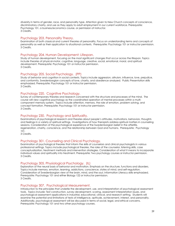diversity in terms of gender, race, and personality type. Attention given to New Church concepts of conscience, discriminatory charity, and use as they apply to adult employment in our current workforce. Prerequisite: Psychology 101, a business/economics course, or permission of instructor. 3 Credits.

#### Psychology 203. Personality Theory.

Examination of both classical and current theories of personality. Focus on understanding terms and concepts of personality as well as their application to situational contexts. Prerequisite: Psychology 101 or instructor permission. 3 Credits.

#### Psychology 204. Human Development: Lifespan.

Study of human development, focusing on the most significant changes that occur across the lifespan. Topics include theories of physical-motor, cognitive, language, creative, social, emotional, moral, and spiritual development. Prerequisite: Psychology 101 or instructor permission. 3 Credits.

#### Psychology 205. Social Psychology. (PP)

Study of behavior and cognition in social contexts. Topics include aggression, altruism, influence, love, prejudice, and conformity. Swedenborgian concepts of love, charity, and obedience analyzed. Public Presentation skills emphasized. Prerequisite: Psychology 101 or instructor permission. 3 Credits.

#### Psychology 220. Cognitive Psychology.

Survey of contemporary theories and research concerned with the structure and processes of the mind. The course will view cognitive psychology as the coordinated operation of mental processes within a multicomponent memory system. Topics include attention, memory, the role of emotion, problem solving, and concept formation. Prerequisite: Psychology 101 or instructor permission. 3 Credits.

#### Psychology 230. Psychology and Spirituality.

Examinations of psychological research and theories about people's attitudes, motivations, behaviors, thoughts and feelings in a variety of spiritual settings. Investigations of how therapists address spiritual matters in counseling sessions. Consideration of the psychological experience of the Swedenborgian belief in the afterlife, regeneration, charity, conscience, and the relationship between God and humans. Prerequisite: Psychology 101.

3 Credits.

#### Psychology 301. Counseling and Clinical Psychology.

Examination of psychological theories that inform the skills of counselors and clinical psychologists in various professional settings. Topics include psychological theories, the roles of the counselor, listening skills, case conceptualization, treatment methods and intervention strategies. Consideration of what it means to incorporate individual values and spirituality into treatment. Prerequisite: Two psychology courses or instructor permission. 3 Credits.

#### Psychology 305. Physiological Psychology. (IL)

Exploration of the neural basis of behavior and motivation. Emphasis on the structure, functions and disorders. Topics include memory, emotion, learning, addictions, conscience, states of mind, and self-regulation. Consideration of Swedenborgian view of the brain, mind, and the soul. Information Literacy skills emphasized. Prerequisite: Psychology 101 and either Biology 122 or instructor permission. 3 Credits.

#### Psychology 307. Psychological Measurement.

Introduction to the principles that underlie the development, use, and interpretation of psychological assessment tools. Topics include: Test construction, survey development, scoring, assessment interpretation issues, and psychological assessment applications in industrial, educational, clinical, and research setting. Students will examine the potential and limitations of tests of intelligence, aptitude, achievement, interest, and personality. Additionally, psychological assessment will be discussed in terms of social, legal, and ethical concerns. Prerequisite: Psychology 101 and two other psychology courses.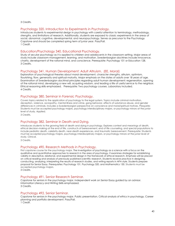3 Credits.

#### Psychology 320. Introduction to Experiments in Psychology.

Introduces students to experimental design in psychology with careful attention to terminology, methodology, strengths, and limitations of research. Additionally, students are exposed to classic experiments in the areas of social, abnormal, cognitive, developmental, and neuropsychology. Serves as precursor to the Psychology Capstone and should be completed spring term of junior year. Pass/Fail. 1 Credit.

#### Education/Psychology 340. Educational Psychology.

Study of secular psychology as it is applied to children and adolescents in the classroom setting. Major areas of study include classroom management, learning, and motivation. Swedenborgian doctrines include innocence, charity, development of the rational mind, and conscience. Prerequisite: Psychology 101 or Education 128. 3 Credits.

#### Psychology 341. Human Development: Adult Altruism. (EE, Moral)

Exploration of psychological theories about moral development, character strengths, altruism, optimism, flourishing, flow, generosity and spiritual maturity. Major emphasis on the states of adults over 18 years of age. Examination of Swedenborgian doctrinal principles regarding adult human development: regeneration, opening of the rational mind, developing a new will, acquiring wisdom, and leading a life of useful service to the neighbor. Ethical reasoning skills emphasized. Prerequisite: Two psychology courses. Laboratory included. 4 Credits.

#### Psychology 380. Seminar in Forensic Psychology.

Covers topics related to the application of psychology to the legal system. Topics include criminal motivation, deception, violence, sociopathy, mental illness and crime, gang behavior, effects of substance abuse, and gender differences in criminals. Includes a Swedenborgian perspective on conscience and moral/spiritual motives. Prequisite: Students must be accepted psychology majors, psychology interdisciplinary majors, or psychology minors at the junior level of study. Applied.

3 Credits.

#### Psychology 382. Seminar in Death and Dying.

Introduces students to the growing field of death and dying in psychology. Explores context and meanings of death, ethical decision-making at the end of life, constructs of bereavement, end of life counseling, and special populations to include pediatric death, celebrity death, near-death experiences, and traumatic bereavement. Prerequisite: Students must be accepted psychology majors, psychology interdisciplinary majors, or psychology minors at the junior level of study. Clinical.

3 Credits.

#### Psychology 490. Research Methods in Psychology.

First capstone course for the psychology major. The investigation of psychology as a science with a focus on the qualitative and quantitative approaches to research in the area of psychology. It examines strategies for establishing validity in descriptive, relational, and experimental design in the framework of ethical research. Emphasis will be placed on critical reading and analysis of previously published scientific research. Students receive practice in designing, conducting, analyzing, interpreting the results of research studies, and writing reports in APA style. Students prepare proposal for Senior Essay. Prerequisites: Psychology 101, Psychology 320, and Mathematics 130. Students must be accepted psychology majors.

3 Credits.

#### Psychology 491. Senior Research Seminar.

Capstone for seniors in the psychology major. Independent work on Senior Essay guided by an advisor. Information Literacy and Writing Skills emphasized. 3 Credits.

#### Psychology 492. Senior Seminar.

Capstone for seniors in the psychology major. Public presentation. Critical analysis of ethics in psychology. Career planning and portfolio development. Pass/Fail. 1 Credit.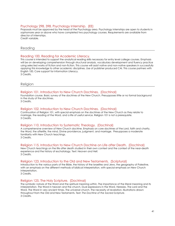#### Psychology 298, 398. Psychology Internship. (EE)

Proposals must be approved by the head of the Psychology area. Psychology internships are open to students in sophomore year or above who have completed two psychology courses. Requirements are available from director of internships.

Credit variable.

#### <span id="page-40-0"></span>Reading

#### Reading 100. Reading for Academic Literacy.

This course is intended to support the analytical reading skills necessary for entry level college courses. Emphasis will be on developing comprehension through structural analysis, vocabulary development and fluency practice using selected works of fiction and non-fiction. This course will assist native and non-native speakers in successfully applying this knowledge to other academic disciplines. Use of publisher produced CAI. This course partners with English 100. Core support for Information Literacy. 3 Credits.

<span id="page-40-1"></span>Religion

#### Religion 101. Introduction to New Church Doctrines. (Doctrinal)

Foundation course. Basic survey of the doctrines of the New Church. Presupposes little or no formal background in the study of the doctrines.

3 Credits.

#### Religion 102. Introduction to New Church Doctrines. (Doctrinal)

Continuation of Religion 101, with special emphasis on the doctrines of the New Church as they relate to marriage, the reading of the Word, and a life of useful service. Religion 101 is not a prerequisite. 3 Credits.

#### Religion 110. Introduction to Systematic Theology. (Doctrinal)

A comprehensive overview of New Church doctrine. Emphasis on core doctrines of the Lord, faith and charity, the Word, the afterlife, the mind, Divine providence, judgment, and marriage. Presupposes a moderate familiarity with New Church teachings. 3 Credits.

#### Religion 115. Introduction to New Church Doctrine on Life after Death. (Doctrinal)

New Church teachings on the life after death studied in their own context and the context of the near-death experience and the history of eschatology. Text: *Heaven and Hell.* 3 Credits.

#### Religion 123. Introduction to the Old and New Testaments. (Scriptural)

Introduction to the various parts of the Bible, the history of the Israelites and Jews, the geography of Palestine, with an emphasis on the different methods of biblical interpretation, with special emphasis on New Church interpretation.

3 Credits.

#### Religion 125. The Holy Scripture. (Doctrinal)

The symbolic nature of the Word and the spiritual meaning within. The importance of the literal meaning and its interpretation. The Word in heaven and the church. Dual expressions in the Word. Heresies. The Lord and the Word. The Word in very ancient times. The universal church. The necessity of revelation. Illustrations drawn throughout from the Old and New Testaments. Text: *The Doctrine of the Sacred Scripture*. 3 Credits.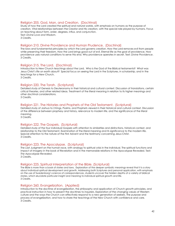#### Religion 205. God, Man, and Creation. (Doctrinal)

Study of how the Lord created the spiritual and natural worlds, with emphasis on humans as the purpose of creation. Vital relationships between the Creator and His creation, with the special role played by humans. Focus on teaching about form, order, degrees, influx, and conjunction. Text: *Divine Love and Wisdom*. 3 Credits.

#### Religion 210. Divine Providence and Human Prudence. (Doctrinal)

The laws and fundamental principles by which the Lord governs creation. How the Lord removes evil from people while preserving their freedom. How the Lord brings good out of evil. Eternal life as the goal of providence. How providence uses natural conditions to serve this end. Why providence operates in secret. Text: *Divine Providence*. 3 Credits.

#### Religion 215. The Lord. (Doctrinal)

Introduction to New Church teachings about the Lord. Who is the God of the Biblical testaments? What was Jesus Christ's life on earth about? Special focus on seeing the Lord in the Scriptures, in scholarship, and in the teachings for a New Church.

3 Credits.

#### Religion 220. The Torah. (Scriptural)

Detailed study of Genesis to Deuteronomy in their historical and cultural context. Discussion of translations, certain critical theories, and other related ideas. Treatment of the literal meaning in relation to its higher meanings and other doctrinal considerations. 3 Credits.

#### Religion 221. The Histories and Prophets of the Old Testament. (Scriptural)

Detailed study of Joshua to 2 Kings, Psalms, and Prophets viewed in their historical and cultural context. Discussion of the difference between prophesy and history, relevance to modern life, and the significance of the literal meaning.

3 Credits.

#### Religion 222. The Gospels. (Scriptural)

Detailed study of the four individual Gospels with attention to similarities and distinctions, historical context, and relationship to the Old Testament. Examination of the literal meaning and its significance to the modern life. Special attention to the nature of the First Advent and the testimony concerning Jesus Christ. 3 Credits.

#### Religion 223. The Apocalypse. (Scriptural)

The Last Judgment on the human race, with analogy to spiritual crisis in the individual. The spiritual functions and impact of imagery in the book of Revelation and in the memorable relations in the Apocalypse Revealed. Text: *The Apocalypse Revealed*. 3 Credits.

#### Religion 225. Spiritual Interpretation of the Bible. (Scriptural)

The Bible is more than a book of stories and laws. Exploration of the deeper symbolic meanings reveal that it is a story about individual spiritual development and growth. Addressing both Scriptures and personal application, with emphasis on the use of Swedenborg's science of correspondences, students uncover the hidden depths of a variety of biblical stories, which elucidate particular insight and meaning to individual spiritual growth and life. 3 Credits.

#### Religion 260. Evangelization. (Applied)

Introduction to the doctrine of evangelization, the philosophy and application of Church growth principles, and practical instruction in how to present the doctrines to inquirers. Exploration of the changing values of Western culture and the ways the Church can effectively respond to a new generation of seekers. The purpose and process of evangelization, and how to share the teachings of the New Church with confidence and care. 3 Credits.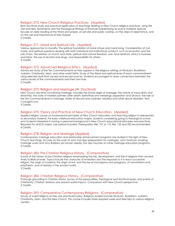#### Religion 270. New Church Religious Practices. (Applied)

Both doctrinal study and practical application of teachings relating to New Church religious practices, using the Old and New Testaments and the theological Writings of Emanuel Swedenborg as source material. Special focuses on daily reading of the Word and prayer, on private and public worship, on the steps of repentance, and on the use and importance of Holy Supper. 3 Credits.

#### Religion 271. Moral and Spiritual Life. (Applied)

Various approaches to morality. The spiritual foundation of moral virtues and moral living. Consideration of civil, moral, and spiritual questions dealing with both individual and institutional conduct, such as revolution and the rule of law, the relation of church and state, spiritual and natural freedom, war, race relations, ethics in business and labor, the use of alcohol and drugs, and responsibility for others. 3 Credits.

#### Religion 272. Advanced Religious Ethics. (Applied)

Advanced study of the Ten Commandments as they appear in the religious writings of Hinduism, Buddhism, Judaism, Christianity, Islam, and other world faiths. Study of the literal and spiritual level of each commandment using selected texts from sacred and secular sources. Students encouraged to draw connections between the various levels of the commandments and their own lives. 3 Credits.

#### Religion 273. Religion and Marriage (W. Doctrinal)

New Church doctrine concerning marriage. Includes the Divine origin of marriage; the nature of masculinity and femininity; the state of married partners after death; betrothals and weddings; separation and divorce; the role of the Ten Commandments in marriage; states of discord and coldness; adultery and other sexual disorders. Text: *Conjugial Love*.

3 Credits.

#### Religion 275. Theory and Practice of New Church Education. (Applied)

Applied religion course on fundamental principles of New Church education and teaching religion to elementary or secondary students. For early childhood education majors, students considering going to theological school, and students interested in having a personal background in New Church educational principles and practices. Required for all ECE majors. Lab period included. Prerequisites: Rel. 101 or 110; Rel. 123 and 220 recommended. 4 Credits.

#### Religion 278. Religion and Marriage (Applied)

Contemporary marriage education and relationship enhancement programs are studied in the light of New Church teachings. Focuses on the work of John Van Epp (preparation for marriage), John Gottman (making marriage work) and Tony Robbins (six human needs), but also touches on other marriage education programs. 3 Credits.

#### Religion 283. Pre-Christian Religious History. (Comparative)

Survey of the history of pre-Christian religions emphasizing the rise, development, and fall of religions from ancient times to Biblical Israel. Topics include the character of revelation and the response to it in each successive religion, the origin of mankind, the origin of evil, and the rise of monogamy and polygamy, of monotheism and polytheism, and of idolatry in the ancient world. 3 Credits.

#### Religion 284. Christian Religious History. (Comparative)

Thorough grounding in Christian history. Survey of the personalities, theological and doctrinal issues, and events of Christianity. Christian divisions and present world-impact. Comparison with New Church perspective. 3 Credits.

#### Religion 293. Comparative Contemporary Religions. (Comparative)

Survey of world religions as they are practiced today. Religions studied include Hinduism, Buddhism, Judaism, Christianity, Islam, and the New Church. This course includes three required week-end field trips to various religious centers.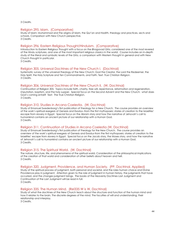3 Credits.

#### Religion 295. Islam. (Comparative)

Study of Islam: Muhammad and the origins of Islam, the Qur'an and Hadith, theology and practices, sects and schools. Comparison with New Church perspective. 3 Credits.

#### Religion 296. Eastern Religious Thought/Hinduism. (Comparative)

Introduction to Eastern Religious Thought with a focus on the *Bhagavad Gita*, considered one of the most revered of the Hindu scriptures, and one of the most important religious classics in the world. Course includes an in-depth study of the literal and symbolic levels of the *Gita*, a comparison with Western thought in general and with New Church thought in particular.

3 Credits.

#### Religion 305. Universal Doctrines of the New Church I. (Doctrinal)

Systematic survey of the universal theology of the New Church: God the Creator, the Lord the Redeemer, the Holy Spirit, the Holy Scripture and Ten Commandments, and Faith. Text: *True Christian Religion*. 3 Credits.

#### Religion 306. Universal Doctrines of the New Church II. (W, Doctrinal)

Continuation of Religion 305. Topics include faith, charity, free will, repentance, reformation and regeneration, imputation, baptism, and the holy supper. Special focus on the Second Advent and the New Church: what does God's coming entail? Text: The True Christian Religion. 3 Credits.

#### Religion 310. Studies in Arcana Coelestia. (W, Doctrinal)

Study of Emanuel Swedenborg's first publication of theology for a New Church. The course provides an overview of the work's spiritual exegesis of Genesis and Exodus--from the first mythopoeic stories of creation to the Israelites' escape from slavery in Egypt. Special focus on the Abram story and how the narrative of Jehovah's call to humankind contains an ancient picture of our relationship with a Human God. 3 Credits.

#### Religion 311. Continuation of Studies in Arcana Coelestia (W, Doctrinal)

Study of Emanuel Swedenborg's first publication of theology for the New Church. The course provides an overview of the work's spiritual exegesis of Genesis and Exodus-from the first mythopoeic stories of creation to the Israelites' escape from slavery in Egypt. Special focus on the Jacob story, the Moses story, and how the narrative of Jehovah's call to humankind contains an ancient picture of our relationship with a Human God. 3 Credits.

#### Religion 315. The Spiritual World. (W, Doctrinal)

The nature, structure, life, and phenomena of the spiritual world. Consideration of the philosophical implications of the creation of that world and consideration of other beliefs about heaven and hell. 3 Credits.

#### Religion 320. Judgment, Providence, and Human Society. (PP, Doctrinal, Applied)

Study of the spiritual process of judgment, both personal and societal, and the roles human choice and Divine Providence play in judgment. Attention given to the role of judgment in human history, the judgments that have occurred, and the changes judgment brings. The books of the Heavenly Doctrines Last Judgment and Continuation of the Last Judgment will be read in full. 3 Credits.

#### Religion 335. The Human Mind. (Rel335 W is W, Doctrinal)

Study of what the doctrines of the New Church teach about the structure and function of the human mind and how it relates to the brain. The discrete degrees of the mind. The faculties of will and understanding, their relationship and interplay.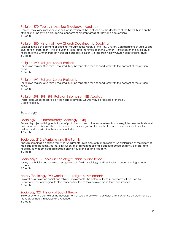#### Religion 370. Topics in Applied Theology. (Applied)

Content may vary from year to year. Consideration of the light shed by the doctrines of the New Church on the ethical and underlying philosophical concerns of different areas of study and occupations. 3 Credits.

#### Religion 380. History of New Church Doctrine. (IL, Doctrinal)

Seminar in the development of doctrinal thought in the history of the New Church. Considerations of various and divergent interpretations. The evolution of ideas and their impact on the Church. Reflection on the intellectual heritage of the Church from an historical perspective. Extensive research in New Church collateral literature. 3 Credits.

#### Religion 490. Religion Senior Project I.

For religion majors. One term is required. May be repeated for a second term with the consent of the division head.

3 Credits.

#### Religion 491. Religion Senior Project II.

For religion majors. One term is required. May be repeated for a second term with the consent of the division head.

3 Credits.

#### Religion 298, 398, 498. Religion Internship. (EE, Applied)

Proposals must be approved by the head of division. Course may be repeated for credit. Credit variable.

#### <span id="page-44-0"></span>Sociology

#### Sociology 110. Introductory Sociology. (QR)

Research project utilizing techniques of participant observation, experimentation, survey/interview methods, and data analysis to discover the basic concepts of sociology and the study of human societies: social structure, culture, and socialization. Laboratory included. 4 Credits.

#### Sociology 212. Marriage and the Family.

Analysis of marriage and the family as fundamental institutions of human society. An exploration of the history of marriage and the family, as these institutions moved from traditional patterns focused on family dictates and necessity to modern patterns focused on individual choice and freedom. 3 Credits.

#### Sociology 218. Topics in Sociology: Ethnicity and Race.

Survey of ethnicity and race as a recognized sub-field in sociology and key factor in understanding human society.

3 Credits.

#### History/Sociology 290. Social and Religious Movements.

Exploration of selected social and religious movements. The history of these movements will be used to understand the sociological factors that contributed to their development, form, and impact. 3 Credits.

#### Sociology 321. History of Social Theory.

Exploration of the context of the development of social theory with particular attention to the different nature of the roots of theory in Europe and America. 3 Credits.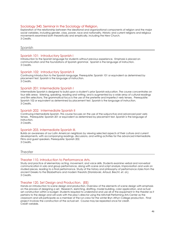#### Sociology 340. Seminar in the Sociology of Religion.

Exploration of the relationship between the ideational and organizational components of religion and the major social variables, including gender, class, power, race and nationality. Historic and current religions and religious movements examined both theoretically and empirically, including the New Church. 3 Credits.

#### <span id="page-45-0"></span>Spanish

#### Spanish 101: Introductory Spanish I

Introduction to the Spanish language for students without previous experience. Emphasis is placed on communication and the foundations of Spanish grammar. Spanish is the language of instruction. 3 Credits.

#### Spanish 102: Introductory Spanish II

Continuing introduction to the Spanish language. Prerequisite: Spanish 101 or equivalent as determined by placement test. Spanish is the language of instruction. 3 Credits.

#### Spanish 201: Intermediate Spanish I

Intermediate Spanish is designed to build upon a student's prior Spanish education. The course concentrates on four skills areas: listening, speaking, reading and writing, and is augmented by a wide array of cultural readings and film selections. The grammatical focus is the use of the preterite and imperfect verb tenses. Prerequisite: Spanish 102 or equivalent as determined by placement test. Spanish is the language of instruction. 3 Credits.

#### Spanish 202: Intermediate Spanish II

Continuing intermediate Spanish. This course focuses on the use of the subjunctive and advanced past verb tenses. Prerequisite: Spanish 201 or equivalent as determined by placement test. Spanish is the language of instruction.

3 Credits.

#### Spanish 203. Intermediate Spanish III.

Builds an awareness of our Latin American neighbors by viewing selected aspects of their culture and current developments, with accompanying readings, discussions, and writing activities for the advanced intermediate. Films and guest speakers. Prerequisite: Spanish 202. 3 Credits.

<span id="page-45-1"></span>**Theater** 

#### Theater 110. Introduction to Performance Arts.

Study and practice of elementary acting, movement, and voice skills. Students examine verbal and nonverbal communication in solo and group performance, along with scene and script analysis. Improvisation and work on studied pieces, leading to a final performance. Study of the history and philosophy of performance styles from the ancient Greeks to the Elizabethans and modern theorists (Stanislavski, Artaud, Brecht, et. al.). 3 Credits.

#### Theater 120. Set Design and Production. (EE)

Hands-on introduction to scene design and production. Overview of the elements of scene design with emphasis on the process of designing a set. Research, sketching, drafting, model building, color application, and actual set construction within a budget. Students required to understand and use all of the equipment in the theater as it pertains to the design and will work with the play's director using the Mitchell Performing Arts Center as the classroom and will participate as a member of the run-crew for the winter Bryn Athyn College production. Final project involves the construction of the actual set. Course may be repeated once for credit. Credit variable.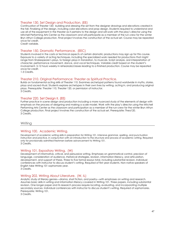#### Theater 130. Set Design and Production. (EE)

Continuation of Theater 120: building and dressing the set from the designer drawings and elevations created in the fall. Finalizing of the design, including color elevations and prop design. Students required to understand and use all of the equipment in the theater as it pertains to the design and will work with the play's director using the Mitchell Performing Arts Center as the classroom and will participate as a member of the run-crew for the winter Bryn Athyn College production. Final project involves the construction of the actual set. Course may be repeated once for credit.

Credit variable.

#### Theater 150. Dramatic Performance. (EEC)

Students involved in the casts or technical aspects of certain dramatic productions may sign up for this course. Exposure to a variety of acting techniques, including the specialized work needed for productions that might range from Shakespeare's plays, to foreign plays in translation, to musicals. Script analysis, oral interpretation of character, performance movement, dance, and vocal techniques. Variable credit based on the student's involvement. 5-12 hours weekly in rehearsals/classes leading to a finished production. Course may be repeated once for credit.

1-3 Credits.

#### Theater 210. Original Performance: Theater as Spiritual Practice.

Builds on fundamental acting skills of Theater 110. Examines archetypal patterns found worldwide in myths, stories, plays and sacred ritual. Students explore archetypes in their own lives by writing, acting in, and producing original plays. Prerequisite: Theater 110, Theater 120, or permission of instructor. 3 Credits.

#### Theater 220. Set Design II. (EE)

Further practice in scene design and production including a more nuanced study of the elements of design with emphasis on the process of designing and making a scale model. Work with the play's director using the Mitchell Performing Arts Center as the classroom and participation as a member of the run-crew for the winter Bryn Athyn College production. Final project involves the construction of the actual set. Prerequisite: Thea120. 3 Credits.

#### <span id="page-46-0"></span>Writing

#### Writing 100. Academic Writing.

Development of academic writing skills in preparation for Writing 101. Intensive grammar, spelling, and punctuation instruction and practice, in conjunction with an introduction to the structure and process of academic writing. Required only for provisionally admitted freshmen before advancement to Writing 101. 3 Credits.

#### Writing 101. Expository Writing. (W)

Development of informative, critical, and persuasive writing. Emphases on grammatical control, precision of language, consideration of audience, rhetorical strategies, revision, information literacy, and articulation, development, and support of thesis. Three to five formal essays total, including substantial revision. Individual conferences with instructor to discuss student's writing. Required of first year students. Non-native speakers of English take Writing 101 sophomore year. 3 Credits.

#### Writing 202. Writing About Literature. (W, IL)

Analytic study of literary genres—drama, short fiction, and poetry—with emphases on writing and research. Assumes basic skills in writing and information literacy covered in Writing 101. Three papers, including substantial revision. One longer paper and its research process require locating, evaluating, and incorporating multiple secondary sources. Individual conferences with instructor to discuss student's writing. Required of sophomores. Prerequisite: Writing 101.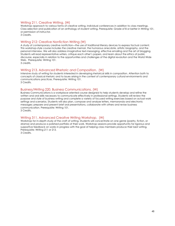#### Writing 211. Creative Writing. (W)

Workshop approach to various forms of creative writing. Individual conferences in addition to class meetings. Class selection and publication of an anthology of student writing. Prerequisite: Grade of B or better in Writing 101, or permission of instructor.

3 Credits.

#### Writing 212: Creative Nonfiction Writing (W)

A study of contemporary creative nonfiction—the use of traditional literary devices to express factual content. This workshop-style course includes the creative memoir, the humorous anecdote, artistic biography, and the personal interview. We will also address imaginative text-messaging, effective emailing and the art of blogging. Students will read representative writers, critique each other's papers, and learn about the ethics of public discourse, especially in relation to the opportunities and challenges of the digital revolution and the World Wide Web. Prerequisite: Writing 101.

3 credits.

#### Writing 213. Advanced Rhetoric and Composition. (W)

Intensive study of writing for students interested in developing rhetorical skills in composition. Attention both to concepts of classical rhetoric and to issues arising in the context of contemporary cultural environments and communications practices. Prerequisite: Writing 101. 3 Credits.

Business/Writing 220. Business Communications. (W)

Business Communications is a workplace-oriented course designed to help students develop and refine the written and oral skills necessary to communicate effectively in professional settings. Students will review the purpose and style of business writing and complete a variety of focused writing exercises based on actual work settings and scenarios. Students will also plan, compose and analyze letters, memoranda and electronic messages; prepare and present brief oral presentations, collaborate with others and revise business communication. Prerequisite: Writing 101. 3 Credits.

#### Writing 311. Advanced Creative Writing Workshop. (W)

Workshop for in-depth study of the craft of writing. Students will concentrate on one genre (poetry, fiction, or drama) and produce a polished portfolio of their work. Workshop sessions provide opportunity for rigorous and supportive feedback on works in progress with the goal of helping class members produce their best writing. Prerequisite: Writing 211 or 213.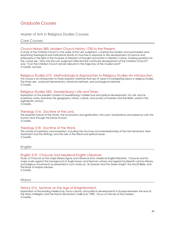# <span id="page-48-0"></span>Graduate Courses

#### <span id="page-48-1"></span>Master of Arts in Religious Studies Courses

#### <span id="page-48-2"></span>Core Courses

#### Church History 585. Modern Church History 1750 to the Present.

A study of the Christian Church in the wake of the Last Judgment, covering the modern and postmodern eras, examining theological and institutional trends of churches in response to the development of science and philosophy in the light of the increase of freedom of thought and action in Western culture. Guiding questions for the course ask, "How has the Last Judgment affected the continued development of the Christian Church?", and, "Can the Christian Church remain relevant in the trajectory of the modern era?" 3 Credits. Lecture.

#### Religious Studies 510: Methodological Approaches to Religious Studies-An Introduction.

This course is an introduction to three research methods that are of value in investigating topics in religious studies. The three are: scriptural hermeneutics, historical methods, and sociological methods. 3 Credits.

#### Religious Studies 550: Swedenborg's Life and Times.

Exploration of the Swedish context of Swedenborg's intellectual and spiritual development, his call, and his revelatory works. Examines the geography, history, culture, and society of Sweden and the Baltic world in the eighteenth century.

3 Credits.

#### Theology 514: Doctrine of the Lord.

The essential nature of the Divine, the incarnation and glorification, the Lord's temptations and presence with the human race through the Divine Human. 3 Credits.

#### Theology 518: Doctrine of the Word.

The nature of inspiration and revelation, including the structure and interrelationship of the Old Testament, New Testament and the Writings, and the role of the literal and spiritual sense. 3 Credits.

#### <span id="page-48-3"></span>English

#### English 510: Chaucer and Medieval English Literature.

Study of Chaucer as the major literary figure and influence from medieval English literature. Chaucer and his major works against the background of Anglo-Saxon and Norman culture and against fourteenth-century literary and religious movements as presented in such works as: Sir Gawain and the Green Knight, The Wyclif Bible, and The Book of Marjory Kempe. 3 Credits.

#### <span id="page-48-4"></span>**History**

#### History 515: Seminar on the Age of Enlightenment.

Exploration of the leading intellectual, socio-cultural, and political developments in Europe between the end of the Wars of Religion and the French Revolution (1648 and 1789). Focus on the rise of the modern. 3 Credits.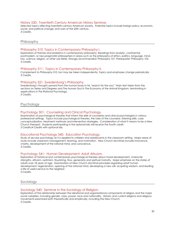#### History 530: Twentieth Century American History Seminar.

Selected topics affecting twentieth-century American society. Potential topics include foreign policy; economic, social, and political change; and wars of the 20th century. 3 Credits.

#### <span id="page-49-0"></span>Philosophy

#### Philosophy 510. Topics in Contemporary Philosophy I.

Exploration of themes and problems in contemporary philosophy. Readings from analytic, continental, postmodern, or neo-pragmatist philosophers in areas such as the philosophy of ethics, politics, language, mind, law, science, religion, or other sub-fields. Strongly recommended: Philosophy 101. Prerequisite: Philosophy 102. 3 Credits.

#### Philosophy 511: Topics in Contemporary Philosophy II.

Complement to Philosophy 510, but may be taken independently. Topics and emphases change periodically. 3 Credits.

#### Philosophy 521. Swedenborg's Philosophy.

Swedenborg's thought upward from the human body in his "search for the soul." Main text taken from the sections on Series and Degrees and The Human Soul in The Economy of the Animal Kingdom, terminating in applications in The Rational Psychology.

3 Credits.

#### <span id="page-49-1"></span>Psychology

#### Psychology 501: Counseling and Clinical Psychology.

Examination of psychological theories that inform the skills of counselors and clinical psychologists in various professional settings. Topics include psychological theories, the roles of the counselor, listening skills, case conceptualization, treatment methods and intervention strategies. Consideration of what it means to be a New Church therapist. Students participating in the optional lab will receive the fourth credit. 3 Credits/4 Credits with optional lab.

#### Educational Psychology 540: Education Psychology.

Study of secular psychology as it is applied to children and adolescents in the classroom setting. Major areas of study include classroom management, learning, and motivation. New Church doctrines include innocence, charity, development of the rational mind, and conscience. 3 Credits.

#### Psychology 541: Human Development: Adult Altruism.

Exploration of historical and contemporary psychological theories about moral development, character strengths, altruism, optimism, flourishing, flow, generosity and spiritual maturity. Major emphasis on the states of adults over 18 years of age. Examination of New Church doctrinal principles regarding adult human development: regeneration, opening of the rational mind, developing a new will, acquiring wisdom, and leading a life of useful service to the neighbor.

3 Credits.

#### <span id="page-49-2"></span>Sociology

#### Sociology 540: Seminar in the Sociology of Religion.

Exploration of the relationship between the ideational and organizational components of religion and the major social variables, including gender, class, power, race and nationality. Historic and current religions and religious movements examined both theoretically and empirically, including the New Church. 3 Credits.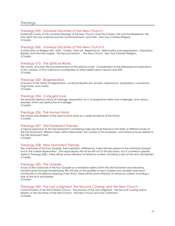#### <span id="page-50-0"></span>Theology 505: Universal Doctrines of the New Church I.

Systematic survey of the universal theology of the New Church: God the Creator, the Lord the Redeemer, the Holy Spirit, the Holy Scripture and Ten Commandments, and Faith. Text: True Christian Religion. 3 Credits.

#### Theology 506: Universal Doctrines of the New Church II.

Continuation of Religion 505. Faith. Charity. Free will. Repentance. Reformation and regeneration. Imputation. Baptism and the Holy Supper. The Second Advent. The New Church. Text: True Christian Religion. 3 Credits.

#### Theology 515: The Spiritual World.

The nature, structure, life and phenomena of the spiritual world. Consideration of the philosophical implications of the creation of that world and consideration of other beliefs about heaven and hell. 3 Credits.

#### Theology 520: Regeneration.

Overview of the states of regeneration, covering heredity evil, remains, repentance, temptations, conscience, forgiveness, and charity. 3 Credits.

#### Theology 524: Conjugial Love.

The essential spiritual nature of marriage, preparation for it, its progressive states and challenges, and various disorders which are destructive of marriage. 3 Credits.

Theology 526: The Human Mind. The nature and degrees of the adult human mind as a vessel receptive of the Divine.

# Theology 527: Old Testament Themes.

A topical approach to the Old Testament considering major doctrinal themes in the letter of different books of the Old Testament, different styles within these books, the context of this revelation, and historical issues related to the Old Testament texts.

3 Credits.

3 Credits.

#### Theology 528: New Testament Themes.

The characters of the Four Gospels, their inspiration, differences, major themes present in the individual Gospels and in the overall dispensation. (The Apocalypse will not be left out of this discussion, but is covered in greater detail in Theology 668.) There will be some attention to historical context, including a look at the Acts and Epistles. 3 Credits.

#### Theology 530: The Gospels.

A look at the character of the Four Gospels as a revelation distinct from the Old Testament and Heavenly Doctrine given through Swedenborg. We will look at the qualities of each Gospel and consider what each contributes to the spiritual meaning of the Word. There will be some attention to historical context, including a look at the Acts and Epistles.

3 Credits.

#### Theology 540: The Last Judgment, the Second Coming, and the New Church.

Consummation of the first Christian Church. The process of the Last Judgment. The Second Coming and its relation to the Doctrines of the New Church. The New Church and True Christianity. 3 Credits.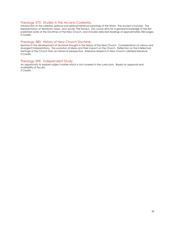#### Theology 570: Studies in the Arcana Coelestia.

Introduction to the celestial, spiritual and spiritual-historical meanings of the Word. The ancient churches. The representation of Abraham, Isaac, and Jacob. The Exodus. This course aims for a general knowledge of the first published works of the Doctrines of the New Church, and includes selected readings of approximately 500 pages. 3 Credits.

#### Theology 580: History of New Church Doctrine.

Seminar in the development of doctrinal thought in the history of the New Church. Considerations of various and divergent interpretations. The evolution of ideas and their impact on the Church. Reflection on the intellectual heritage of the Church from an historical perspective. Extensive research in New Church collateral literature. 3 Credits.

#### Theology 599: Independent Study.

An opportunity to explore subject matter which is not covered in the curriculum. Based on approval and availability of faculty.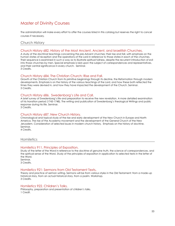# <span id="page-52-0"></span>Master of Divinity Courses

The administration will make every effort to offer the courses listed in this catalog but reserves the right to cancel courses if necessary.

#### <span id="page-52-1"></span>Church History

#### Church History 682. History of the Most Ancient, Ancient, and Israelitish Churches.

A study of the doctrinal teachings concerning the pre-Advent churches; their rise and fall, with emphasis on the human states of reception and the operations of the Lord in reference to those states in each of the churches. Their sequence is examined in such a way as to illustrate spiritual fullness, despite the recurrent introduction of evil into those churches by men. Special emphasis is laid upon the subject of correspondences and representatives, and their central significance in every church. Seminar. 3 Credits.

#### Church History 684. The Christian Church: Rise and Fall.

Growth of the Christian Church from its primitive beginnings through its decline, the Reformation through modern developments. Emphasis is on the history of the various teachings of the Lord, and how these both reflected the times they were devised in, and how they have impacted the development of the Church. Seminar. 3 Credits.

#### Church History 686. Swedenborg's Life and Call.

A brief survey of Swedenborg's life and preparation to receive the new revelation. A more detailed examination of his transition period (1743-1748). The writing and publication of Swedenborg's theological Writings and public response during his life. Seminar.

3 Credits.

#### Church History 687. New Church History.

Chronological and topical study of the rise and early development of the New Church in Europe and North America. The rise of the Academy movement and the development of the General Church of the New Jerusalem. Consideration of selected issues in modern church history. Emphasis on the history of doctrine. Seminar.

4 Credits.

#### <span id="page-52-2"></span>**Homiletics**

#### Homiletics 911. Principles of Exposition.

Study of the letter of the Word in reference to the doctrine of genuine truth, the science of correspondences, and the spiritual sense of the Word. Study of the principles of exposition in application to selected texts in the letter of the Word. Seminar.

3 Credits.

#### Homiletics 921: Sermons from Old Testament Texts**.**

Theory and practice of sermon writing. Sermons will be from various styles in the Old Testament: from a made-up historical story, from an actual historical story, from a psalm. Workshop. 3 Credits.

#### Homiletics 922. Children's Talks.

Philosophy, preparation and presentation of children's talks. 1 Credit.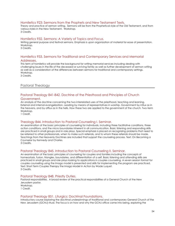#### Homiletics 923: Sermons from the Prophets and New Testament Texts.

Theory and practice of sermon writing. Sermons will be from the Prophetical style of the Old Testament, and from various styles in the New Testament. Workshop. 3 Credits.

#### Homiletics 932. Sermons: A Variety of Topics and Focus.

Writing general purpose and festival sermons. Emphasis is upon organization of material for ease of presentation. Workshop.

3 Credits.

#### Homiletics 933. Sermons for Traditional and Contemporary Services and Memorial Addresses.

This term of homiletics will provide the background for writing memorial services including dealing with challenging issues in the life of the deceased or surviving family as well as further development of sermon writing as well as a consideration of the differences between sermons for traditional and contemporary settings. Workshop.

3 Credits.

#### <span id="page-53-0"></span>Pastoral Theology

#### Pastoral Theology 841-842. Doctrine of the Priesthood and Principles of Church Government.

An analysis of the doctrine concerning the two interrelated uses of the priesthood, teaching and learning. External and internal evangelization. Leading by means of representatives in worship. Government by influx as in the heavens, and by afflux as in the hells. How these two are applied to the government of the church. Two-term Workshop.

1 Credit.

#### Theology 844. Introduction to Pastoral Counseling I. Seminar.

An examination of the basic principles of counseling for individuals, including three facilitative conditions, three action conditions, and the micro boundaries inherent in all communication. Basic listening and responding skills are practiced in small groups and in role plays. Special emphasis is placed on recognizing problems that need to be referred to other professionals, when to make such referrals, and to whom these referrals should be made. Teachings from the Heavenly Doctrines are included that support the counseling process. Text: On Becoming a Counselor by Kennedy and Charles.

3 Credits.

#### Pastoral Theology 845. Introduction to Pastoral Counseling II. Seminar.

An examination of the basic principles of counseling for couples and families including the concepts of homeostasis, fusion, triangles, boundaries, and differentiation of a self. Basic listening and attending skills are practiced in small groups and role plays looking to applications in couples counseling. A seven session format for couples counseling using the Imago model is presented and skills for implementing the program are practiced. Text: Short Term Couples Therapy the Imago Model in Action by Wade Luquet. 3 Credits.

#### Pastoral Theology 848. Priestly Duties.

Pastoral responsibilities. A broad review of the practical responsibilities of a General Church of the New Jerusalem pastor. Workshop. 1 Credit.

#### Pastoral Theology 851. Liturgics: Doctrinal Foundations.

Introductory course exploring the doctrinal underpinnings of traditional and contemporary General Church of the New Jerusalem (GCNJ) ritual. The focus is on how and why the GCNJ office came into being, exploring the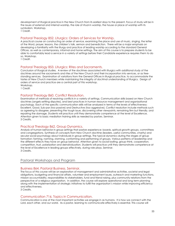development of liturgical practice in the New Church from its earliest days to the present. Focus of study will be in the issues of external and internal worship, the role of ritual in worship, the house or place of worship with its symbolism. Workshop.

1 Credit.

#### Pastoral Theology 852. Liturgics: Orders of Services for Worship.

A practical course on constructing an order of service, examining the place and use of music, singing, the letter of the Word, prayer, lessons, the children's talk, sermon and benediction. There will be a major emphasis on developing a familiarity with the liturgy and practice of leading worship according to the standard General Offices, as well as contemporary, informal and home settings. The aim of this course is to prepare students to be able to comfortably lead a service in a variety of settings before their Candidate experience requires them to do so. Workshop.

1 Credit.

#### Pastoral Theology 853. Liturgics: Rites and Sacraments.

Conclusion of liturgical studies. A review of the doctrines associated with liturgics with additional study of the doctrines around the sacraments and rites of the New Church and their incorporation into services, or as freestanding services. Examination of variations from the General Offices in liturgical practice, to accommodate the tastes of New Church members while maintaining the integrity of doctrinal understanding of liturgics. Design of orders of service and practice are a central part of this workshop. Workshop.

1 Credit.

#### Pastoral Theology 860. Conflict Resolution.

Examination of methods of resolving conflicts in a variety of settings. Communication skills based on New Church doctrines (angels settling disputes), and best practices in human resource management and organizational psychology. Each of the specific communication skills will be analyzed in terms of the levels of effectiveness: Excellent, Good, Sub-par (too passive) and Destructive (too aggressive). Conflict resolution include methods such as agreeing to disagree, presenting the tough issue, discovering other viewpoints, remaining firm but friendly, and repairing the damage. Students will practice until they demonstrate competence at the level of Excellence. Attention given to basic mediation training skills as needed by pastors. Seminar. 3 Credits.

#### Practical Theology 862. Group Dynamics.

Analysis of human behavior in group settings that pastors experience: boards, spiritual growth groups, committees and congregations. Synthesis of concepts from New Church doctrine (leaders, useful communities, charity) and secular social psychology about individuals in group settings. The typical dynamics during the stages of group formation: forming, norming, storming, conforming and performing of groups. Various patterns of leadership and the different effects they have on group behavior. Attention given to social loafing, group-think, cooperation, competition, trust, polarization and deindividuation. Students will practice until they demonstrate competence at the level of Excellence in leading groups effectively, during role plays. Seminar. 3 Credits.

#### <span id="page-54-0"></span>Pastoral Workshops and Program

#### Business 864. Pastoral Business. Seminar.

The focus of this course will be an exploration of management and administrative activities, societal and legal obligations, budgeting and financial affairs, volunteer and employment issues, outreach and marketing functions, mission accountability, responsibilities to stakeholders, fund and friend raising, plus community relations from the perspective of a religious organization. In addition, the course will explore operational and long term planning along with the implementation of strategic initiatives to fulfill the organization's mission while improving efficiency and effectiveness.

3 Credits.

#### Communication 716. Topics in Communication.

Communication is one of the most important activities we engage in as humans. It is how we connect with the Lord, each other, and our world. As a pastor, learning to communicate effectively is essential. This course will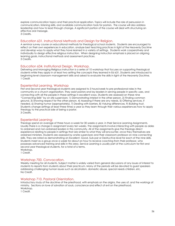explore communication topics and their practical application. Topics will include the role of persuasion in communication, listening skills, and available communication tools for pastors. The course will also address leadership and how to lead through change. A significant portion of the course will deal with structuring an effective oral message.

3 Credits.

#### Education 631. Instructional Methods and Design for Religion.

A seminar survey course on educational methods for theological school students. Students are encouraged to reflect on their own experiences in education, analyze best teaching practices in light of the Heavenly Doctrine and develop ways to apply what they have learned in a variety of settings. Students work cooperatively and individually to design effective religious instruction. When designing instruction emphasis is placed on aligning learning goals, instructional methods and assessment practices. 3 Credits.

#### Education 634. Institutional Design. Workshop.

Delivering and Managing Religious Instruction is a series of 10 workshop that focuses on supporting theological students while they apply in at least two setting the concepts they learned in Ed 631. Students are introduced to beginning level classroom management skills and asked to evaluate the skills in light of the Heavenly Doctrine. 1 Credit.

#### Experiential Learning. Workshop

First and Second year theological students are assigned to 3 hours/week to pre-professional roles in the community or a church organization. They assist pastors and lay leaders in serving people in specific uses, and connecting with all the people in these settings in excellent ways. Students are assessed on these nine "Connecting Skills" by on site supervisors: 1) Demonstrating interest in the other person, 2) Finding common ground, 3) Showing respect for the other person, 4) Assessing if there are any needs, 5) Offering services, if needed, 6) Sharing humor (appropriately), 7) Dealing with barriers, 8) Valuing differences, 9) Building trust. Students change settings at least three times a year so they learn through their various experiences how to apply theology to the practical side of being a pastor. 3 Credits.

#### Experiential Learning:

Theologs spend an average of three hours a week for 30 weeks a year, in their Service Learning Assignments. Usually there is a change in assignment every ten weeks. The assignments involve interacting with people as aides to ordained and non-ordained leaders in this community. All of the assignments give the theologs direct experience relating to people in settings that are similar to what they will encounter, once they themselves are ordained ministers. Students are assessed by onsite supervisors and their classroom professor on nine connecting skills. They are rated as demonstrating an Excellent, Good, Sub-par or Destructive level for each of the nine skills. Students meet as a group once a week for about an hour to receive coaching from their professor, who possesses advanced training and skills in this area. Service Learning is usually part of the curriculum for first and second year theological students, for a total of 6 terms. Workshop.

1 Credit.

#### Workshop 700. Convocation.

Weekly meeting for all students. Subject matter is widely varied from general discussions of any issues of interest to students to reports from students about their practicum. Many of the periods will be devoted to guest speakers addressing challenging human issues such as alcoholism, domestic abuse, special needs children, etc. No Credit.

#### Workshop 710. Pastoral Orientation.

Introductory study of the doctrine of the priesthood, with emphasis on the origins, the uses of, and the workings of ministry. Sections on love of salvation of souls, conscience and effect of evil on the priesthood. Workshop.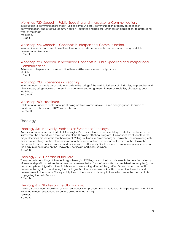#### Workshop 720. Speech I: Public Speaking and Interpersonal Communication.

Introduction to communications theory: Self as communicator, communication process, perception in communication, and effective communication—qualities and barriers. Emphasis on applications to professional work of the priest.

Workshop. 1 Credit.

#### Workshop 724. Speech II: Concepts in Interpersonal Communication.

Introduction to oral interpretation of literature. Advanced interpersonal communication theory and skills development. Workshop.

1 Credit.

#### Workshop 728. Speech III: Advanced Concepts in Public Speaking and Interpersonal Communication.

Advanced interpersonal communication theory, skills development, and practice. Workshop. 1 Credit.

#### Workshop 738. Experience in Preaching.

When a student is made a candidate, usually in the spring of the next-to-last year of his studies; he preaches and gives classes, using approved material. Includes weekend assignments to nearby societies, circles, or groups. Workshop.

No Credit.

#### Workshop 750. Practicum.

Fall term of a student's final year is spent doing pastoral work in a New Church congregation. Required of candidates for the ministry. 10 Week Practicum. No Credit.

#### <span id="page-56-0"></span>**Theology**

#### Theology 601. Heavenly Doctrines as Systematic Theology.

An introductory course required of all Theological School students. Its purpose is to provide for the students the framework, the context, and the direction of the Theological School program. It introduces the students to the major doctrines presented in the theological Writings of Emanuel Swedenborg or Heavenly Doctrines along with their core teachings, to the relationship among the major doctrines, to fundamental terms in the Heavenly Doctrines, to important ideas about and arising from the Heavenly Doctrines, and to important perspectives on theology in general and on the Heavenly Doctrines in particular. Seminar. 3 Credits.

#### Theology 612. Doctrine of the Lord.

The systematic teachings of Swedenborg's theological Writings about the Lord: His essential nature from eternity; His relationship with us before the advent; why He needed to "come"; what He accomplished (redemption); how He accomplished it (glorification of His human); the enduring effect of the glorified Divine Human, and of His presence through it. In considering the Lord's glorification process we look at His conception, heredity, and development in the human. We especially look at the nature of His temptations, which were the means of His subjugating the hells. Seminar.

3 Credits.

#### Theology 614. Studies on the Glorification: I.

The Lord's childhood. Acquisition of knowledge. Early temptations. The first rational. Divine perception. The Divine Rational. In-most temptations. (Arcana Coelestia, chap. 12-22). Seminar.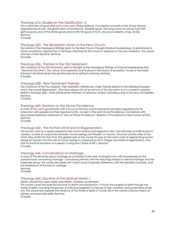#### Theology 616. Studies on the Glorification: II.

The conjunction of good and truth in the Lord's Divine Rational. Conception and birth of the Divine Natural. Appearances of truth. The glorification of the Natural. Mediate good. The conjunction of natural truth with spiritual good, and of the Divine good natural with the good of truth. (Arcana Coelestia, chap. 23-33). Seminar.

3 Credits.

#### Theology 620. The Revelation Given to the New Church.

The nature of the theological Writings given to the New Church through Emanuel Swedenborg. Its relationship to former revelations. Approaches to forming a doctrine for the church in response to the new revelation. The nature and role of that doctrine. Seminar.

3 Credits.

#### Theology 626. Themes in the Old Testament.

The character of the Old Testament, seen in the light of the theological Writings of Emanuel Swedenborg (the "Heavenly Doctrine"). The nature of its inspiration and its place in the history of revelation. A look at the major themes in the literal sense that are the basis for its spiritual meaning. Seminar. 3 Credits.

#### Theology 628. New Testament Themes.

The character of the Four Gospels, their inspiration, differences, major themes present in the individual Gospels and in the overall dispensation. (The Apocalypse will not be left out of this discussion, but is covered in greater detail in Theology 668.) There will be some attention to historical context, including a look at the Acts and Epistles. Seminar.

3 Credits.

#### Theology 640. Seminar on the Divine Providence.

A study of the Lord's government with a focus on the laws and fundamental principles regulating the His interaction with people and their response to Him, as seen in the work Divine Providence. Comparison with Apocalypse Explained treatment of "laws of Divine Providence." Relation of Providence to free human activity. Seminar.

3 Credits.

#### Theology 642. The Human Mind and its Regeneration.

The human mind as a vessel created by the Lord to receive and respond to Him, and ultimately to fulfill His end in creation: a state of conjunction between human beings and Himself, i.e. heaven. Structure and faculties of the mind, influx of life into the mind. The greater part of the course focuses on the Lord's work of regenerating human beings for heaven and the role of human beings in cooperating with it. Stages and states of regeneration, from birth to the final formation of a person's ruling love ("Book of life"). Seminar. 3 Credits.

#### Theology 646. Conversations on Marriage.

A study of the doctrines about marriage as contained in the work, *Conjugial Love*, with an emphasis on the pastoral issues concerning marriage. Concerned primarily with the teachings related to eternal marriage and the happiness brings, this course also deals with current issues of gender difference, with the disorders of society, and the breakdown of the love of marriage.

Seminar.

3 Credits.

#### Theology 660. Doctrine of the Spiritual World: I.

Death, resurrection, early states after death, vastation, punishment.

This course covers the essential doctrine of death and resurrection. It traces the progress of spirits through the World of Spirits, including the process of individual judgment to heaven or hell, vastation and punishments of the evil. The course also explores the influence of the World of Spirits in human life in the natural world by means of spheres and associate spirits. Seminar.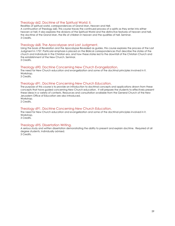#### Theology 662. Doctrine of the Spiritual World: II.

Realities of spiritual world, correspondences of Grand Man, Heaven and Hell.

A continuation of Theology 660. This course traces the continued process of a spirits as they enter into either heaven or hell. It also explores the divisions of the Spiritual World and the distinctive features of heaven and hell, the doctrine of the Grand Man, the life of children in heaven and the qualities of hell. Seminar. 3 Credits.

#### Theology 668. The Apocalypse and Last Judgment.

Using the book of Revelation and the Apocalypse Revealed as guides, this course explores the process of the Last Judgment in 1757. Particular emphasis is placed on the Biblical correspondences that describe the states of the church and individuals in the Christian era, and how these states led to the downfall of the Christian Church and the establishment of the New Church. Seminar. 3 Credits.

#### Theology 690. Doctrine Concerning New Church Evangelization.

The need for New Church education and evangelization and some of the doctrinal principles involved in it. Workshop

3 Credits.

#### Theology 691. Doctrine Concerning New Church Education.

The purpose of this course is to provide an introduction to doctrinal concepts and applications drawn from these concepts that have guided concerning New Church education. It will prepare the students to effectively present these ideas in a variety of contexts. Resources and consultation available from the General Church of the New Jerusalem Office of Education are also introduced. Workshop.

2 Credits.

#### Theology 691. Doctrine Concerning New Church Education.

The need for New Church education and evangelization and some of the doctrinal principles involved in it. Workshop. 3 Credits.

#### Theology 695. Dissertation Writing.

A serious study and written dissertation demonstrating the ability to present and explain doctrine. Required of all degree students. Individually advised.